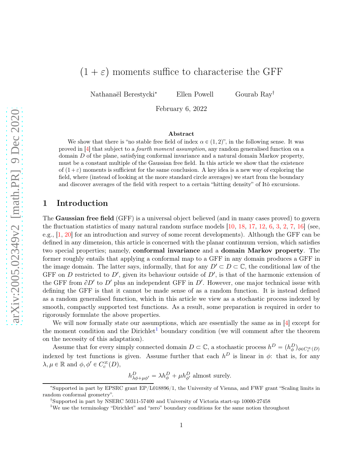Nathanaël Berestycki<sup>∗</sup> Ellen Powell Gourab Ray<sup>†</sup>

February 6, 2022

#### Abstract

We show that there is "no stable free field of index  $\alpha \in (1, 2)$ ", in the following sense. It was proved in [\[4\]](#page-24-0) that subject to a fourth moment assumption, any random generalised function on a domain D of the plane, satisfying conformal invariance and a natural domain Markov property, must be a constant multiple of the Gaussian free field. In this article we show that the existence of  $(1+\varepsilon)$  moments is sufficient for the same conclusion. A key idea is a new way of exploring the field, where (instead of looking at the more standard circle averages) we start from the boundary and discover averages of the field with respect to a certain "hitting density" of Itô excursions.

# 1 Introduction

The Gaussian free field (GFF) is a universal object believed (and in many cases proved) to govern the fluctuation statistics of many natural random surface models  $[10, 18, 17, 12, 6, 3, 2, 7, 16]$  $[10, 18, 17, 12, 6, 3, 2, 7, 16]$  $[10, 18, 17, 12, 6, 3, 2, 7, 16]$  $[10, 18, 17, 12, 6, 3, 2, 7, 16]$  $[10, 18, 17, 12, 6, 3, 2, 7, 16]$  $[10, 18, 17, 12, 6, 3, 2, 7, 16]$  $[10, 18, 17, 12, 6, 3, 2, 7, 16]$  $[10, 18, 17, 12, 6, 3, 2, 7, 16]$  $[10, 18, 17, 12, 6, 3, 2, 7, 16]$  $[10, 18, 17, 12, 6, 3, 2, 7, 16]$  $[10, 18, 17, 12, 6, 3, 2, 7, 16]$  $[10, 18, 17, 12, 6, 3, 2, 7, 16]$  $[10, 18, 17, 12, 6, 3, 2, 7, 16]$  $[10, 18, 17, 12, 6, 3, 2, 7, 16]$  $[10, 18, 17, 12, 6, 3, 2, 7, 16]$  $[10, 18, 17, 12, 6, 3, 2, 7, 16]$  (see, e.g., [\[1,](#page-24-7) [20\]](#page-25-3) for an introduction and survey of some recent developments). Although the GFF can be defined in any dimension, this article is concerned with the planar continuum version, which satisfies two special properties; namely, conformal invariance and a domain Markov property. The former roughly entails that applying a conformal map to a GFF in any domain produces a GFF in the image domain. The latter says, informally, that for any  $D' \subset D \subset \mathbb{C}$ , the conditional law of the GFF on D restricted to D', given its behaviour outside of  $D'$ , is that of the harmonic extension of the GFF from  $\partial D'$  to  $D'$  plus an independent GFF in  $D'$ . However, one major technical issue with defining the GFF is that it cannot be made sense of as a random function. It is instead defined as a random generalised function, which in this article we view as a stochastic process indexed by smooth, compactly supported test functions. As a result, some preparation is required in order to rigorously formulate the above properties.

We will now formally state our assumptions, which are essentially the same as in [\[4\]](#page-24-0) except for the moment condition and the Dirichlet<sup>[1](#page-0-0)</sup> boundary condition (we will comment after the theorem on the necessity of this adaptation).

Assume that for every simply connected domain  $D \subset \mathbb{C}$ , a stochastic process  $h^D = (h^D_\phi)_{\phi \in C_c^\infty(D)}$ indexed by test functions is given. Assume further that each  $h^D$  is linear in  $\phi$ : that is, for any  $\lambda, \mu \in \mathbb{R}$  and  $\phi, \phi' \in C_c^{\infty}(D)$ ,

 $h_{\lambda\phi+\mu\phi'}^D = \lambda h_{\phi}^D + \mu h_{\phi'}^D$  almost surely.

<sup>∗</sup> Supported in part by EPSRC grant EP/L018896/1, the University of Vienna, and FWF grant "Scaling limits in random conformal geometry".

<sup>†</sup> Supported in part by NSERC 50311-57400 and University of Victoria start-up 10000-27458

<span id="page-0-0"></span><sup>&</sup>lt;sup>1</sup>We use the terminology "Dirichlet" and "zero" boundary conditions for the same notion throughout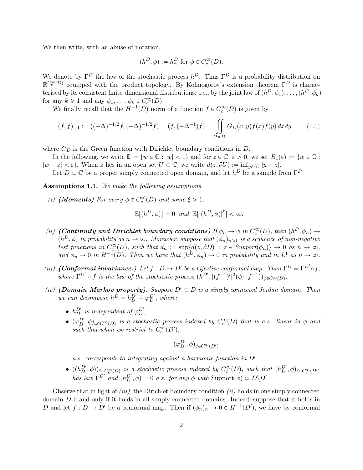We then write, with an abuse of notation,

$$
(h^D,\phi):=h^D_\phi\text{ for }\phi\in C^\infty_c(D).
$$

We denote by  $\Gamma^D$  the law of the stochastic process  $h^D$ . Thus  $\Gamma^D$  is a probability distribution on  $\mathbb{R}^{C_c^{\infty}(D)}$  equipped with the product topology. By Kolmogorov's extension theorem  $\Gamma^D$  is characterised by its consistent finite-dimensional distributions: i.e., by the joint law of  $(h^D, \phi_1), \ldots, (h^D, \phi_k)$ for any  $k \geq 1$  and any  $\phi_1, \ldots, \phi_k \in C_c^{\infty}(D)$ .

We finally recall that the  $H^{-1}(D)$  norm of a function  $f \in C_c^{\infty}(D)$  is given by

$$
(f, f)_{-1} := ((-\Delta)^{-1/2} f, (-\Delta)^{-1/2} f) = (f, (-\Delta^{-1}) f) = \iint_{D \times D} G_D(x, y) f(x) f(y) dx dy \tag{1.1}
$$

where  $G_D$  is the Green function with Dirichlet boundary conditions in  $D$ .

In the following, we write  $\mathbb{D} = \{w \in \mathbb{C} : |w| < 1\}$  and for  $z \in \mathbb{C}, \varepsilon > 0$ , we set  $B_z(\varepsilon) := \{w \in \mathbb{C} : |w| \leq 1\}$  $|w - z| < \varepsilon$ . When z lies in an open set  $U \subset \mathbb{C}$ , we write  $d(z, \partial U) := \inf_{y \in \partial U} |y - z|$ .

<span id="page-1-0"></span>Let  $D \subset \mathbb{C}$  be a proper simply connected open domain, and let  $h^D$  be a sample from  $\Gamma^D$ .

Assumptions 1.1. We make the following assumptions.

(i) (**Moments**) For every  $\phi \in C_c^{\infty}(D)$  and some  $\xi > 1$ :

$$
\mathbb{E}[(h^D,\phi)] = 0 \text{ and } \mathbb{E}[(h^D,\phi)]^{\xi}] < \infty.
$$

- (ii) (Continuity and Dirichlet boundary conditions) If  $\phi_n \to \phi$  in  $C_c^{\infty}(D)$ , then  $(h^D, \phi_n) \to$  $(h^D, \phi)$  in probability as  $n \to \infty$ . Moreover, suppose that  $(\phi_n)_{n \geq 1}$  is a sequence of non-negative test functions in  $C_c^{\infty}(D)$ , such that  $d_n := \sup\{d(z, \partial D) : z \in \text{Support}(\phi_n)\} \to 0$  as  $n \to \infty$ , and  $\phi_n \to 0$  in  $H^{-1}(D)$ . Then we have that  $(h^D, \phi_n) \to 0$  in probability and in  $L^1$  as  $n \to \infty$ .
- (iii) **(Conformal invariance.)** Let  $f : D \to D'$  be a bijective conformal map. Then  $\Gamma^D = \Gamma^{D'} \circ f$ , where  $\Gamma^{D'} \circ f$  is the law of the stochastic process  $(h^{D'}, |(f^{-1})'|^2 (\phi \circ f^{-1}))_{\phi \in C_c^{\infty}(D)}$ .
- (iv) (**Domain Markov property**). Suppose  $D' \subset D$  is a simply connected Jordan domain. Then we can decompose  $h^D = h_D^{D'} + \varphi_D^{D'}$ , where:
	- $h_D^{D'}$  is independent of  $\varphi_D^{D'}$ ;
	- $\bullet$   $(\varphi_D^{D'}, \phi)_{\phi \in C_c^{\infty}(D)}$  is a stochastic process indexed by  $C_c^{\infty}(D)$  that is a.s. linear in  $\phi$  and such that when we restrict to  $C_c^{\infty}(D')$ ,

$$
(\varphi_D^{D'}, \phi)_{\phi \in C_c^{\infty}(D')}
$$

a.s. corresponds to integrating against a harmonic function in  $D'$ .

 $\bullet$   $((h_D^{D'}, \phi))_{\phi \in C_c^{\infty}(D)}$  is a stochastic process indexed by  $C_c^{\infty}(D)$ , such that  $(h_D^{D'}, \phi)_{\phi \in C_c^{\infty}(D')}$ has law  $\Gamma^{D'}$  and  $(h_D^{D'}, \phi) = 0$  a.s. for any  $\phi$  with  $\text{Support}(\phi) \subset D \backslash D'$ .

Observe that in light of *(iii)*, the Dirichlet boundary condition *(ii)* holds in one simply connected domain  $D$  if and only if it holds in all simply connected domains. Indeed, suppose that it holds in D and let  $f: D \to D'$  be a conformal map. Then if  $(\phi_n)_n \to 0 \in H^{-1}(D')$ , we have by conformal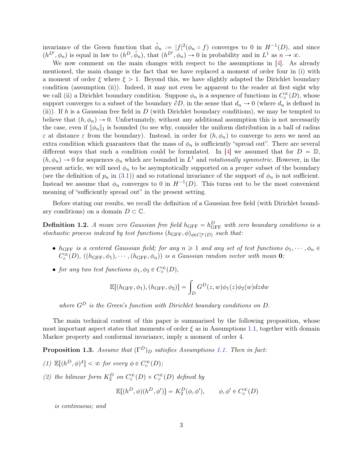invariance of the Green function that  $\tilde{\phi}_n := |f|^2(\phi_n \circ f)$  converges to 0 in  $H^{-1}(D)$ , and since  $(h^{D'}, \phi_n)$  is equal in law to  $(h^D, \tilde{\phi}_n)$ , that  $(h^{D'}, \phi_n) \to 0$  in probability and in  $L^1$  as  $n \to \infty$ .

We now comment on the main changes with respect to the assumptions in [\[4\]](#page-24-0). As already mentioned, the main change is the fact that we have replaced a moment of order four in (i) with a moment of order  $\xi$  where  $\xi > 1$ . Beyond this, we have slightly adapted the Dirichlet boundary condition (assumption (ii)). Indeed, it may not even be apparent to the reader at first sight why we call (ii) a Dirichlet boundary condition. Suppose  $\phi_n$  is a sequence of functions in  $C_c^{\infty}(D)$ , whose support converges to a subset of the boundary  $\partial D$ , in the sense that  $d_n \to 0$  (where  $d_n$  is defined in (ii)). If h is a Gaussian free field in  $D$  (with Dirichlet boundary conditions), we may be tempted to believe that  $(h, \phi_n) \to 0$ . Unfortunately, without any additional assumption this is not necessarily the case, even if  $\|\phi_n\|_1$  is bounded (to see why, consider the uniform distribution in a ball of radius  $\varepsilon$  at distance  $\varepsilon$  from the boundary). Instead, in order for  $(h, \phi_n)$  to converge to zero we need an extra condition which guarantees that the mass of  $\phi_n$  is sufficiently "spread out". There are several different ways that such a condition could be formulated. In [\[4\]](#page-24-0) we assumed that for  $D = \mathbb{D}$ ,  $(h, \phi_n) \to 0$  for sequences  $\phi_n$  which are bounded in  $L^1$  and *rotationally symmetric*. However, in the present article, we will need  $\phi_n$  to be asymptotically supported on a *proper* subset of the boundary (see the definition of  $p_u$  in [\(3.1\)](#page-7-0)) and so rotational invariance of the support of  $\phi_n$  is not sufficient. Instead we assume that  $\phi_n$  converges to 0 in  $H^{-1}(D)$ . This turns out to be the most convenient meaning of "sufficiently spread out" in the present setting.

Before stating our results, we recall the definition of a Gaussian free field (with Dirichlet boundary conditions) on a domain  $D \subset \mathbb{C}$ .

**Definition 1.2.** A mean zero Gaussian free field  $h_{\text{GFF}} = h_{\text{GFF}}^D$  with zero boundary conditions is a stochastic process indexed by test functions  $(h_{\text{GFF}}, \phi)_{\phi \in C_c^{\infty}(D)}$  such that:

- $h_{\text{GFF}}$  is a centered Gaussian field; for any  $n \geq 1$  and any set of test functions  $\phi_1, \dots, \phi_n \in$  $C_c^{\infty}(D)$ ,  $((h_{\text{GFF}}, \phi_1), \cdots, (h_{\text{GFF}}, \phi_n))$  is a Gaussian random vector with mean **0**;
- for any two test functions  $\phi_1, \phi_2 \in C_c^{\infty}(D)$ ,

$$
\mathbb{E}[(h_{\text{GFF}}, \phi_1), (h_{\text{GFF}}, \phi_2)] = \int_D G^D(z, w)\phi_1(z)\phi_2(w)dzdw
$$

where  $G^D$  is the Green's function with Dirichlet boundary conditions on D.

The main technical content of this paper is summarised by the following proposition, whose most important aspect states that moments of order  $\xi$  as in Assumptions [1.1,](#page-1-0) together with domain Markov property and conformal invariance, imply a moment of order 4.

<span id="page-2-0"></span>**Proposition 1.3.** Assume that  $(\Gamma^D)_D$  satisfies Assumptions [1.1.](#page-1-0) Then in fact:

- (1)  $\mathbb{E}[(h^D, \phi)^4] < \infty$  for every  $\phi \in C_c^{\infty}(D)$ ;
- (2) the bilinear form  $K_2^D$  on  $C_c^{\infty}(D) \times C_c^{\infty}(D)$  defined by

$$
\mathbb{E}[(h^D, \phi)(h^D, \phi')] = K_2^D(\phi, \phi'), \qquad \phi, \phi' \in C_c^{\infty}(D)
$$

is continuous; and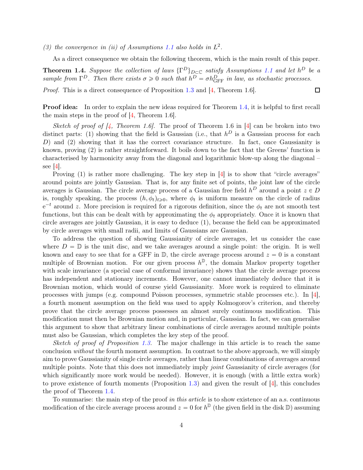(3) the convergence in (ii) of Assumptions [1.1](#page-1-0) also holds in  $L^2$ .

<span id="page-3-0"></span>As a direct consequence we obtain the following theorem, which is the main result of this paper.

 $\Box$ 

**Theorem 1.4.** Suppose the collection of laws  $\{\Gamma^D\}_{D \subset \mathbb{C}}$  satisfy Assumptions [1.1](#page-1-0) and let  $h^D$  be a sample from  $\Gamma^D$ . Then there exists  $\sigma \geq 0$  such that  $h^D = \sigma h_{\text{GFF}}^D$  in law, as stochastic processes.

*Proof.* This is a direct consequence of Proposition [1.3](#page-2-0) and [\[4,](#page-24-0) Theorem 1.6].

Proof idea: In order to explain the new ideas required for Theorem [1.4,](#page-3-0) it is helpful to first recall the main steps in the proof of [\[4,](#page-24-0) Theorem 1.6].

Sketch of proof of  $\vert 4$ , Theorem 1.6. The proof of Theorem 1.6 in [\[4\]](#page-24-0) can be broken into two distinct parts: (1) showing that the field is Gaussian (i.e., that  $h^D$  is a Gaussian process for each D) and (2) showing that it has the correct covariance structure. In fact, once Gaussianity is known, proving (2) is rather straightforward. It boils down to the fact that the Greens' function is characterised by harmonicity away from the diagonal and logarithmic blow-up along the diagonal – see  $[4]$ .

Proving  $(1)$  is rather more challenging. The key step in  $[4]$  is to show that "circle averages" around points are jointly Gaussian. That is, for any finite set of points, the joint law of the circle averages is Gaussian. The circle average process of a Gaussian free field  $h^D$  around a point  $z \in D$ is, roughly speaking, the process  $(h, \phi_t)_{t \geqslant 0}$ , where  $\phi_t$  is uniform measure on the circle of radius  $e^{-t}$  around z. More precision is required for a rigorous definition, since the  $\phi_t$  are not smooth test functions, but this can be dealt with by approximating the  $\phi_t$  appropriately. Once it is known that circle averages are jointly Gaussian, it is easy to deduce (1), because the field can be approximated by circle averages with small radii, and limits of Gaussians are Gaussian.

To address the question of showing Gaussianity of circle averages, let us consider the case where  $D = \mathbb{D}$  is the unit disc, and we take averages around a single point: the origin. It is well known and easy to see that for a GFF in  $\mathbb{D}$ , the circle average process around  $z = 0$  is a constant multiple of Brownian motion. For our given process  $h^{\mathbb{D}}$ , the domain Markov property together with scale invariance (a special case of conformal invariance) shows that the circle average process has independent and stationary increments. However, one cannot immediately deduce that it is Brownian motion, which would of course yield Gaussianity. More work is required to eliminate processes with jumps (e.g. compound Poisson processes, symmetric stable processes etc.). In [\[4\]](#page-24-0), a fourth moment assumption on the field was used to apply Kolmogorov's criterion, and thereby prove that the circle average process possesses an almost surely continuous modification. This modification must then be Brownian motion and, in particular, Gaussian. In fact, we can generalise this argument to show that arbitrary linear combinations of circle averages around multiple points must also be Gaussian, which completes the key step of the proof.

Sketch of proof of Proposition [1.3.](#page-2-0) The major challenge in this article is to reach the same conclusion *without* the fourth moment assumption. In contrast to the above approach, we will simply aim to prove Gaussianity of single circle averages, rather than linear combinations of averages around multiple points. Note that this does not immediately imply *joint* Gaussianity of circle averages (for which significantly more work would be needed). However, it is enough (with a little extra work) to prove existence of fourth moments (Proposition [1.3\)](#page-2-0) and given the result of  $[4]$ , this concludes the proof of Theorem [1.4.](#page-3-0)

To summarise: the main step of the proof in this article is to show existence of an a.s. continuous modification of the circle average process around  $z = 0$  for  $h^{\mathbb{D}}$  (the given field in the disk  $\mathbb{D}$ ) assuming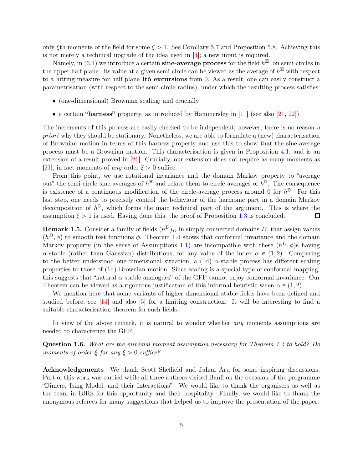only ξth moments of the field for some  $\xi > 1$ . See Corollary [5.7](#page-21-0) and Proposition [5.8.](#page-21-1) Achieving this is not merely a technical upgrade of the idea used in [\[4\]](#page-24-0); a new input is required.

Namely, in  $(3.1)$  we introduce a certain **sine-average process** for the field  $h^{\mathbb{H}}$ , on semi-circles in the upper half plane. Its value at a given semi-circle can be viewed as the average of  $h^{\mathbb{H}}$  with respect to a hitting measure for half plane Itô excursions from 0. As a result, one can easily construct a parametrisation (with respect to the semi-circle radius), under which the resulting process satisfies:

- (one-dimensional) Brownian scaling; and crucially
- a certain "harness" property, as introduced by Hammersley in  $[11]$  (see also  $[21, 22]$  $[21, 22]$ ).

The increments of this process are easily checked to be independent; however, there is no reason a priori why they should be stationary. Nonetheless, we are able to formulate a (new) characterisation of Brownian motion in terms of this harness property and use this to show that the sine-average process must be a Brownian motion. This characterisation is given in Proposition [4.1,](#page-13-0) and is an extension of a result proved in [\[21\]](#page-25-4). Crucially, our extension does not require as many moments as [\[21\]](#page-25-4); in fact moments of *any* order  $\xi > 0$  suffice.

From this point, we use rotational invariance and the domain Markov property to "average out" the semi-circle sine-averages of  $h^{\mathbb{H}}$  and relate them to circle averages of  $h^{\mathbb{D}}$ . The consequence is existence of a continuous modification of the circle-average process around 0 for  $h^{\mathbb{D}}$ . For this last step, one needs to precisely control the behaviour of the harmonic part in a domain Markov decomposition of  $h^{\mathbb{D}}$ , which forms the main technical part of the argument. This is where the assumption  $\xi > 1$  is used. Having done this, the proof of Proposition [1.3](#page-2-0) is concluded.  $\Box$ 

**Remark 1.5.** Consider a family of fields  $(h^D)_D$  in simply connected domains D, that assign values  $(h^D, \phi)$  to smooth test functions  $\phi$ . Theorem [1.4](#page-3-0) shows that conformal invariance and the domain Markov property (in the sense of Assumptions [1.1\)](#page-1-0) are incompatible with these  $(h^D, \phi)$ s having  $\alpha$ -stable (rather than Gaussian) distributions, for any value of the index  $\alpha \in (1, 2)$ . Comparing to the better understood one-dimensional situation, a (1d)  $\alpha$ -stable process has different scaling properties to those of (1d) Brownian motion. Since scaling is a special type of conformal mapping, this suggests that "natural  $\alpha$ -stable analogues" of the GFF cannot enjoy conformal invariance. Our Theorem can be viewed as a rigourous justification of this informal heuristic when  $\alpha \in (1, 2)$ .

We mention here that some variants of higher dimensional stable fields have been defined and studied before, see  $[14]$  and also  $[5]$  for a limiting construction. It will be interesting to find a suitable characterisation theorem for such fields.

<span id="page-4-0"></span>In view of the above remark, it is natural to wonder whether *any* moments assumptions are needed to characterize the GFF.

Question 1.6. What are the minimal moment assumption necessary for Theorem [1.4](#page-3-0) to hold? Do moments of order  $\xi$  for any  $\xi > 0$  suffice?

Acknowledgements We thank Scott Sheffield and Juhan Aru for some inspiring discussions. Part of this work was carried while all three authors visited Banff on the occasion of the programme "Dimers, Ising Model, and their Interactions". We would like to thank the organisers as well as the team in BIRS for this opportunity and their hospitality. Finally, we would like to thank the anonymous referees for many suggestions that helped us to improve the presentation of the paper.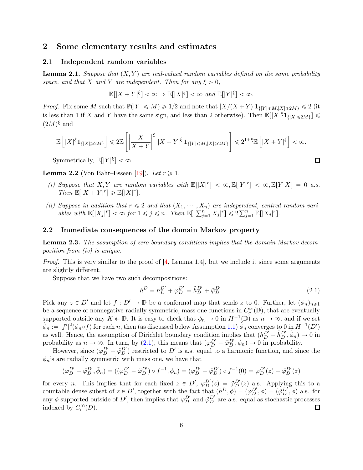# 2 Some elementary results and estimates

#### <span id="page-5-3"></span>2.1 Independent random variables

**Lemma 2.1.** Suppose that  $(X, Y)$  are real-valued random variables defined on the same probability space, and that X and Y are independent. Then for any  $\xi > 0$ ,

$$
\mathbb{E}[|X+Y|^{\xi}]<\infty \Rightarrow \mathbb{E}[|X|^{\xi}]<\infty \text{ and } \mathbb{E}[|Y|^{\xi}]<\infty.
$$

*Proof.* Fix some M such that  $\mathbb{P}(|Y| \le M) \ge 1/2$  and note that  $|X/(X+Y)|\mathbf{1}_{\{|Y| \le M, |X|\ge 2M\}} \le 2$  (it is less than 1 if X and Y have the same sign, and less than 2 otherwise). Then  $\mathbb{E}[|X|^{\xi}\mathbf{1}_{\{|X|\leq 2M\}}] \leq$  $(2M)^{\xi}$  and

$$
\mathbb{E}\left[|X|^{\xi}\mathbf{1}_{\{|X|\geq 2M\}}\right] \leq 2\mathbb{E}\left[\left|\frac{X}{X+Y}\right|^{\xi}|X+Y|^{\xi}\mathbf{1}_{\{|Y|\leq M,|X|\geq 2M\}}\right] \leq 2^{1+\xi}\mathbb{E}\left[|X+Y|^{\xi}\right] < \infty.
$$

Symmetrically,  $\mathbb{E}[|Y|^{\xi}] < \infty$ .

<span id="page-5-2"></span>**Lemma 2.2** (Von Bahr–Esseen [\[19\]](#page-25-7)). Let  $r \geq 1$ .

- (i) Suppose that X, Y are random variables with  $\mathbb{E}[|X|^r] < \infty, \mathbb{E}[|Y|^r] < \infty, \mathbb{E}[Y|X] = 0$  a.s.  $\label{eq:Then} \operatorname{Then} \, \mathbb{E}\big[ |X + Y|^r \big] \geqslant \mathbb{E}\big[ |X|^r \big].$
- (ii) Suppose in addition that  $r \leq 2$  and that  $(X_1, \dots, X_n)$  are independent, centred random variables with  $\mathbb{E}[|X_j|^r] < \infty$  for  $1 \leq j \leq n$ . Then  $\mathbb{E}[|\sum_{j=1}^n X_j|^r] \leq 2\sum_{j=1}^n \mathbb{E}[|X_j|^r]$ .

#### <span id="page-5-1"></span>2.2 Immediate consequences of the domain Markov property

Lemma 2.3. The assumption of zero boundary conditions implies that the domain Markov decomposition from (iv) is unique.

*Proof.* This is very similar to the proof of  $[4, \text{ Lemma 1.4}]$ , but we include it since some arguments are slightly different.

Suppose that we have two such decompositions:

<span id="page-5-0"></span>
$$
h^{D} = h^{D'}_{D} + \varphi^{D'}_{D} = \tilde{h}^{D'}_{D} + \tilde{\varphi}^{D'}_{D}.
$$
\n(2.1)

 $\Box$ 

Pick any  $z \in D'$  and let  $f : D' \to \mathbb{D}$  be a conformal map that sends z to 0. Further, let  $(\phi_n)_{n \geq 1}$ be a sequence of nonnegative radially symmetric, mass one functions in  $C_c^{\infty}(\mathbb{D})$ , that are eventually supported outside any  $K \subseteq \mathbb{D}$ . It is easy to check that  $\phi_n \to 0$  in  $H^{-1}(\mathbb{D})$  as  $n \to \infty$ , and if we set  $\tilde{\phi}_n := |f'|^2(\phi_n \circ f)$  for each n, then (as discussed below Assumption [1.1\)](#page-1-0)  $\tilde{\phi}_n$  converges to 0 in  $H^{-1}(D')$ as well. Hence, the assumption of Dirichlet boundary condition implies that  $(h_D^{D'} - \tilde{h}_D^{D'}, \tilde{\phi}_n) \to 0$  in probability as  $n \to \infty$ . In turn, by [\(2.1\)](#page-5-0), this means that  $(\varphi_D^{D'} - \tilde{\varphi}_D^{D'}, \tilde{\phi}_n) \to 0$  in probability.

However, since  $(\varphi_D^{D'} - \tilde{\varphi}_D^{D'})$  restricted to D' is a.s. equal to a harmonic function, and since the  $\phi_n$ 's are radially symmetric with mass one, we have that

$$
(\varphi_D^{D'} - \tilde{\varphi}_D^{D'}, \tilde{\phi}_n) = ((\varphi_D^{D'} - \tilde{\varphi}_D^{D'}) \circ f^{-1}, \phi_n) = (\varphi_D^{D'} - \tilde{\varphi}_D^{D'}) \circ f^{-1}(0) = \varphi_D^{D'}(z) - \tilde{\varphi}_D^{D'}(z)
$$

for every *n*. This implies that for each fixed  $z \in D'$ ,  $\varphi_D^{D'}(z) = \varphi_D^{D'}(z)$  a.s. Applying this to a countable dense subset of  $z \in D'$ , together with the fact that  $(h^D, \phi) = (\varphi_D^{D'}, \phi) = (\tilde{\varphi}_D^{D'}, \phi)$  a.s. for any  $\phi$  supported outside of D', then implies that  $\varphi_D^{D'}$  and  $\tilde{\varphi}_D^{D'}$  are a.s. equal as stochastic processes indexed by  $C_c^{\infty}(D)$ .  $\Box$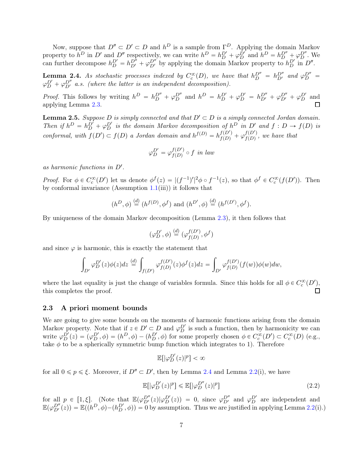Now, suppose that  $D'' \subset D' \subset D$  and  $h^D$  is a sample from  $\Gamma^D$ . Applying the domain Markov property to  $h^D$  in D' and D'' respectively, we can write  $h^D = h_D^{D'} + \varphi_D^{D'}$  and  $h^D = h_D^{D''} + \varphi_D^{D''}$ . We can further decompose  $h_D^{D'} = h_{D'}^{D''} + \varphi_{D'}^{D''}$  by applying the domain Markov property to  $h_D^{D'}$  in  $D''$ .

<span id="page-6-0"></span>**Lemma 2.4.** As stochastic processes indexed by  $C_c^{\infty}(D)$ , we have that  $h_D^{D''} = h_{D'}^{D''}$  and  $\varphi_D^{D''} = h_{D'}^{D''}$  $\varphi_D^{D'} + \varphi_{D'}^{D''}$  a.s. (where the latter is an independent decomposition).

*Proof.* This follows by writing  $h^D = h_D^{D''} + \varphi_D^{D''}$  and  $h^D = h_D^{D'} + \varphi_D^{D'} = h_{D'}^{D''} + \varphi_{D'}^{D''} + \varphi_D^{D'}$  and applying Lemma [2.3.](#page-5-1) 囗

<span id="page-6-2"></span>**Lemma 2.5.** Suppose D is simply connected and that  $D' \subset D$  is a simply connected Jordan domain. Then if  $h^D = h_D^{D'} + \varphi_D^{D'}$  is the domain Markov decomposition of  $h^D$  in  $D'$  and  $f: D \to f(D)$  is conformal, with  $f(D') \subset f(D)$  a Jordan domain and  $h^{f(D)} = h^{f(D')}_{f(D)} + \varphi^{f(D')}_{f(D)}$ , we have that

$$
\varphi_D^{D'} = \varphi_{f(D)}^{f(D')} \circ f \text{ in } law
$$

as harmonic functions in  $D'$ .

Proof. For  $\phi \in C_c^{\infty}(D')$  let us denote  $\phi^f(z) = |(f^{-1})'|^2 \phi \circ f^{-1}(z)$ , so that  $\phi^f \in C_c^{\infty}(f(D'))$ . Then by conformal invariance  $(Assumption 1.1(iii))$  $(Assumption 1.1(iii))$  $(Assumption 1.1(iii))$  it follows that

$$
(h^D, \phi) \stackrel{(d)}{=} (h^{f(D)}, \phi^f)
$$
 and  $(h^{D'}, \phi) \stackrel{(d)}{=} (h^{f(D')}, \phi^f)$ .

By uniqueness of the domain Markov decomposition (Lemma [2.3\)](#page-5-1), it then follows that

$$
(\varphi_D^{D'}, \phi) \stackrel{(d)}{=} (\varphi_{f(D)}^{f(D')}, \phi^f)
$$

and since  $\varphi$  is harmonic, this is exactly the statement that

$$
\int_{D'} \varphi_D^{D'}(z)\phi(z)dz \stackrel{(d)}{=} \int_{f(D')} \varphi_{f(D)}^{f(D')}(z)\phi^f(z)dz = \int_{D'} \varphi_{f(D)}^{f(D')}(f(w))\phi(w)dw,
$$

where the last equality is just the change of variables formula. Since this holds for all  $\phi \in C_c^{\infty}(D')$ , this completes the proof.

#### 2.3 A priori moment bounds

We are going to give some bounds on the moments of harmonic functions arising from the domain Markov property. Note that if  $z \in D' \subset D$  and  $\varphi_D^{D'}$  is such a function, then by harmonicity we can write  $\varphi_D^{D'}(z) = (\varphi_D^{D'}, \phi) = (h^D, \phi) - (h^D, \phi)$  for some properly chosen  $\phi \in C_c^{\infty}(D') \subset C_c^{\infty}(D)$  (e.g., take  $\phi$  to be a spherically symmetric bump function which integrates to 1). Therefore

$$
\mathbb{E}[\lvert\varphi_D^{D'}(z)\rvert^p] < \infty
$$

for all  $0 \le p \le \xi$ . Moreover, if  $D'' \subset D'$ , then by Lemma [2.4](#page-6-0) and Lemma [2.2\(](#page-5-2)i), we have

<span id="page-6-1"></span>
$$
\mathbb{E}[\left|\varphi_D^{D'}(z)\right|^p] \le \mathbb{E}[\left|\varphi_D^{D''}(z)\right|^p]
$$
\n(2.2)

<span id="page-6-3"></span>for all  $p \in [1, \xi]$ . (Note that  $\mathbb{E}(\varphi_{D'}^{D''}(z)|\varphi_{D}^{D'}(z)) = 0$ , since  $\varphi_{D'}^{D''}$  and  $\varphi_{D}^{D'}$  are independent and  $\mathbb{E}(\varphi_{D'}^{D''}(z)) = \mathbb{E}((h^D, \phi) - (h_D^{D'}, \phi)) = 0$  by assumption. Thus we are justified in applying Lemma [2.2\(](#page-5-2)i).)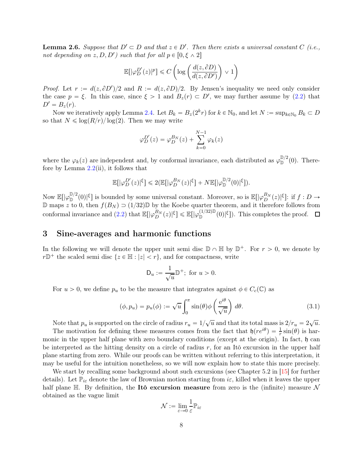**Lemma 2.6.** Suppose that  $D' \subset D$  and that  $z \in D'$ . Then there exists a universal constant C (i.e., not depending on  $z, D, D'$ ) such that for all  $p \in [0, \xi \wedge 2]$ 

$$
\mathbb{E}\big[|\varphi_D^{D'}(z)|^p\big] \leqslant C\left(\log\left(\frac{d(z,\partial D)}{d(z,\partial D')}\right) \vee 1\right)
$$

*Proof.* Let  $r := d(z, \partial D')/2$  and  $R := d(z, \partial D)/2$ . By Jensen's inequality we need only consider the case  $p = \xi$ . In this case, since  $\xi > 1$  and  $B_z(r) \subset D'$ , we may further assume by [\(2.2\)](#page-6-1) that  $D' = B_z(r)$ .

Now we iteratively apply Lemma [2.4.](#page-6-0) Let  $B_k = B_z(2^k r)$  for  $k \in \mathbb{N}_0$ , and let  $N := \sup_{k \in \mathbb{N}_0} B_k \subset D$ so that  $N \leq \log(R/r)/\log(2)$ . Then we may write

$$
\varphi_D^{D'}(z) = \varphi_D^{B_N}(z) + \sum_{k=0}^{N-1} \varphi_k(z)
$$

where the  $\varphi_k(z)$  are independent and, by conformal invariance, each distributed as  $\varphi_{\mathbb{D}}^{\mathbb{D}/2}(0)$ . Therefore by Lemma  $2.2$ (ii), it follows that

$$
\mathbb{E}\big[|\varphi^{D'}_D(z)|^\xi\big]\leqslant 2\big(\mathbb{E}\big[|\varphi^{B_N}_D(z)|^\xi\big]+N\mathbb{E}\big[|\varphi^{\mathbb{D}/2}_{\mathbb{D}}(0)|^\xi\big]).
$$

Now  $\mathbb{E}[\lvert \varphi_D^{D/2}(0) \rvert^{\xi}]$  is bounded by some universal constant. Moreover, so is  $\mathbb{E}[\lvert \varphi_D^{B_N}(z) \rvert^{\xi}]$ : if  $f: D \to$  $\mathbb D$  maps z to 0, then  $f(B_N) \supset (1/32) \mathbb D$  by the Koebe quarter theorem, and it therefore follows from conformal invariance and [\(2.2\)](#page-6-1) that  $\mathbb{E}[\lvert \varphi_D^{B_N}(z)\rvert^\xi] \leq \mathbb{E}[\lvert \varphi_D^{(1/32)\mathbb{D}}(0)\rvert^\xi]$ . This completes the proof.

## <span id="page-7-1"></span>3 Sine-averages and harmonic functions

In the following we will denote the upper unit semi disc  $\mathbb{D} \cap \mathbb{H}$  by  $\mathbb{D}^+$ . For  $r > 0$ , we denote by  $r\mathbb{D}^+$  the scaled semi disc  $\{z \in \mathbb{H} : |z| < r\}$ , and for compactness, write

$$
\mathsf{D}_u := \frac{1}{\sqrt{u}} \mathbb{D}^+; \text{ for } u > 0.
$$

For  $u > 0$ , we define  $p_u$  to be the measure that integrates against  $\phi \in C_c(\mathbb{C})$  as

<span id="page-7-0"></span>
$$
(\phi, p_u) = p_u(\phi) := \sqrt{u} \int_0^\pi \sin(\theta) \phi \left(\frac{e^{i\theta}}{\sqrt{u}}\right) d\theta.
$$
 (3.1)

Note that  $p_u$  is supported on the circle of radius  $r_u = 1/\sqrt{u}$  and that its total mass is  $2/r_u = 2\sqrt{u}$ .

The motivation for defining these measures comes from the fact that  $\mathfrak{h}(re^{i\theta}) = \frac{1}{r}\sin(\theta)$  is harmonic in the upper half plane with zero boundary conditions (except at the origin). In fact,  $\mathfrak{h}$  can be interpreted as the hitting density on a circle of radius  $r$ , for an Itô excursion in the upper half plane starting from zero. While our proofs can be written without referring to this interpretation, it may be useful for the intuition nonetheless, so we will now explain how to state this more precisely.

We start by recalling some background about such excursions (see Chapter 5.2 in [\[15\]](#page-25-8) for further details). Let  $\mathbb{P}_{i\infty}$  denote the law of Brownian motion starting from  $i\varepsilon$ , killed when it leaves the upper half plane  $\mathbb{H}$ . By definition, the Itô excursion measure from zero is the (infinite) measure N obtained as the vague limit

$$
\mathcal{N}:=\lim_{\varepsilon\to 0}\frac{1}{\varepsilon}\mathbb{P}_{i\varepsilon}
$$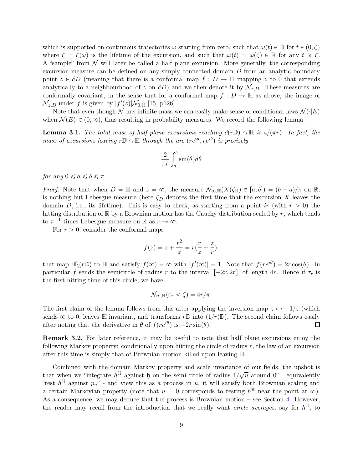which is supported on continuous trajectories  $\omega$  starting from zero, such that  $\omega(t) \in \mathbb{H}$  for  $t \in (0, \zeta)$ where  $\zeta = \zeta(\omega)$  is the lifetime of the excursion, and such that  $\omega(t) = \omega(\zeta) \in \mathbb{R}$  for any  $t \geqslant \zeta$ . A "sample" from  $\mathcal N$  will later be called a half plane excursion. More generally, the corresponding excursion measure can be defined on any simply connected domain D from an analytic boundary point  $z \in \partial D$  (meaning that there is a conformal map  $f : D \to \mathbb{H}$  mapping z to 0 that extends analytically to a neighbourhood of z on  $\partial D$ ) and we then denote it by  $\mathcal{N}_{z,D}$ . These measures are conformally covariant, in the sense that for a conformal map  $f: D \to \mathbb{H}$  as above, the image of  $\mathcal{N}_{z,D}$  under f is given by  $|f'(z)|\mathcal{N}_{0,\mathbb{H}}$  [\[15,](#page-25-8) p126].

<span id="page-8-0"></span>Note that even though N has infinite mass we can easily make sense of conditional laws  $\mathcal{N}(\cdot|E)$ when  $\mathcal{N}(E) \in (0, \infty)$ , thus resulting in probability measures. We record the following lemma.

**Lemma 3.1.** The total mass of half plane excursions reaching  $\partial(r\mathbb{D}) \cap \mathbb{H}$  is  $4/(\pi r)$ . In fact, the mass of excursions leaving  $r\mathbb{D} \cap \mathbb{H}$  through the arc  $(re^{ia}, re^{ib})$  is precisely

$$
\frac{2}{\pi r} \int_{a}^{b} \sin(\theta) d\theta
$$

for any  $0 \le a \le b \le \pi$ .

*Proof.* Note that when  $D = \mathbb{H}$  and  $z = \infty$ , the measure  $\mathcal{N}_{\infty,\mathbb{H}}(X(\zeta_{\mathbb{H}}) \in [a,b]) = (b-a)/\pi$  on R, is nothing but Lebesgue measure (here  $\zeta_D$  denotes the first time that the excursion X leaves the domain D, i.e., its lifetime). This is easy to check, as starting from a point ir (with  $r > 0$ ) the hitting distribution of  $\mathbb R$  by a Brownian motion has the Cauchy distribution scaled by r, which tends to  $\pi^{-1}$  times Lebesgue measure on R as  $r \to \infty$ .

For  $r > 0$ , consider the conformal maps

$$
f(z) = z + \frac{r^2}{z} = r(\frac{r}{z} + \frac{z}{r}),
$$

that map  $\mathbb{H}\setminus (r\mathbb{D})$  to  $\mathbb H$  and satisfy  $f(\infty) = \infty$  with  $|f'(\infty)| = 1$ . Note that  $f(re^{i\theta}) = 2r\cos(\theta)$ . In particular f sends the semicircle of radius r to the interval  $[-2r, 2r]$ , of length 4r. Hence if  $\tau_r$  is the first hitting time of this circle, we have

$$
\mathcal{N}_{\infty, \mathbb{H}}(\tau_r < \zeta) = 4r/\pi.
$$

The first claim of the lemma follows from this after applying the inversion map  $z \mapsto -1/z$  (which sends  $\infty$  to 0, leaves H invariant, and transforms  $r\mathbb{D}$  into  $(1/r)\mathbb{D}$ . The second claim follows easily after noting that the derivative in  $\theta$  of  $f(re^{i\theta})$  is  $-2r\sin(\theta)$ . after noting that the derivative in  $\theta$  of  $f(re^{i\theta})$  is  $-2r \sin(\theta)$ .

<span id="page-8-1"></span>Remark 3.2. For later reference, it may be useful to note that half plane excursions enjoy the following Markov property: conditionally upon hitting the circle of radius  $r$ , the law of an excursion after this time is simply that of Brownian motion killed upon leaving H.

Combined with the domain Markov property and scale invariance of our fields, the upshot is that when we "integrate  $h^{\mathbb{H}}$  against h on the semi-circle of radius  $1/\sqrt{u}$  around  $0$ " - equivalently "test  $h^{\mathbb{H}}$  against  $p_u$ " - and view this as a process in u, it will satisfy both Brownian scaling and a certain Markovian property (note that  $u = 0$  corresponds to testing  $h^{\mathbb{H}}$  near the point at  $\infty$ ). As a consequence, we may deduce that the process is Brownian motion – see Section [4.](#page-13-1) However, the reader may recall from the introduction that we really want *circle averages*, say for  $h^{\mathbb{D}}$ , to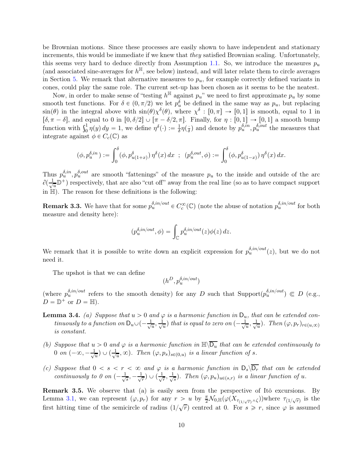be Brownian motions. Since these processes are easily shown to have independent and stationary increments, this would be immediate if we knew that they satisfied Brownian scaling. Unfortunately, this seems very hard to deduce directly from Assumption [1.1.](#page-1-0) So, we introduce the measures  $p_u$ (and associated sine-averages for  $h^{\mathbb{H}}$ , see below) instead, and will later relate them to circle averages in Section [5.](#page-16-0) We remark that alternative measures to  $p_u$ , for example correctly defined variants in cones, could play the same role. The current set-up has been chosen as it seems to be the neatest.

Now, in order to make sense of "testing  $h^{\mathbb{H}}$  against  $p_u$ " we need to first approximate  $p_u$  by some smooth test functions. For  $\delta \in (0, \pi/2)$  we let  $p_u^{\delta}$  be defined in the same way as  $p_u$ , but replacing  $\sin(\theta)$  in the integral above with  $\sin(\theta)\chi^{\delta}(\theta)$ , where  $\chi^{\delta} : [0, \pi] \to [0, 1]$  is smooth, equal to 1 in  $[\delta, \pi - \delta]$ , and equal to 0 in  $[0, \delta/2] \cup [\pi - \delta/2, \pi]$ . Finally, for  $\eta : [0, 1] \to [0, 1]$  a smooth bump function with  $\int_0^1 \eta(y) dy = 1$ , we define  $\eta^\delta(\cdot) := \frac{1}{\delta}$  $\frac{1}{\delta} \eta(\frac{1}{\delta})$  and denote by  $p_u^{\delta, in}$ ,  $p_u^{\delta, out}$  the measures that integrate against  $\phi \in C_c(\mathbb{C})$  as

$$
(\phi, p_u^{\delta, in}) := \int_0^{\delta} (\phi, p_{u(1+x)}^{\delta}) \eta^{\delta}(x) dx \; ; \; (p_u^{\delta, out}, \phi) := \int_0^{\delta} (\phi, p_{u(1-x)}^{\delta}) \eta^{\delta}(x) dx.
$$

Thus  $p_u^{\delta,in}, p_u^{\delta,out}$  are smooth "fattenings" of the measure  $p_u$  to the inside and outside of the arc  $\partial(\frac{1}{\sqrt{2}})$  $\frac{1}{u} \mathbb{D}^+$ ) respectively, that are also "cut off" away from the real line (so as to have compact support in  $H$ ). The reason for these definitions is the following:

**Remark 3.3.** We have that for some  $p_u^{\delta, in/out} \in C_c^{\infty}(\mathbb{C})$  (note the abuse of notation  $p_u^{\delta, in/out}$  for both measure and density here):

$$
(p_u^{\delta, in/out}, \phi) = \int_{\mathbb{C}} p_u^{\delta, in/out}(z) \phi(z) \, dz.
$$

We remark that it is possible to write down an explicit expression for  $p_u^{\delta, in/out}(z)$ , but we do not need it.

The upshot is that we can define

$$
(h^D,p_u^{\delta,in/out})
$$

<span id="page-9-0"></span>(where  $p_u^{\delta,in/out}$  refers to the smooth density) for any D such that Support $(p_u^{\delta,in/out}) \in D$  (e.g.,  $D = \mathbb{D}^+$  or  $D = \mathbb{H}$ ).

- **Lemma 3.4.** (a) Suppose that  $u > 0$  and  $\varphi$  is a harmonic function in  $D_u$ , that can be extended continuously to a function on  $D_u \cup (-\frac{1}{\sqrt{2}})$  $\frac{1}{u}, \frac{1}{\sqrt{2}}$  $\frac{1}{u}$ ) that is equal to zero on  $(-\frac{1}{\sqrt{2}})$  $\frac{1}{u}, \frac{1}{\sqrt{2}}$  $\frac{1}{u}$ ). Then  $(\varphi, p_r)_{r \in (u,\infty)}$ is constant.
- (b) Suppose that  $u > 0$  and  $\varphi$  is a harmonic function in  $\mathbb{H}\setminus\overline{\mathsf{D}_u}$  that can be extended continuously to 0 on  $(-\infty, -\frac{1}{\sqrt{2}})$  $\frac{1}{u})\cup(\frac{1}{\sqrt{2}}$  $(\frac{1}{u}, \infty)$ . Then  $(\varphi, p_s)_{s \in (0,u)}$  is a linear function of s.
- (c) Suppose that  $0 < s < r < \infty$  and  $\varphi$  is a harmonic function in  $D_s\backslash\overline{D_r}$  that can be extended continuously to 0 on  $\left(-\frac{1}{\sqrt{2}}\right)$  $\frac{1}{s}, -\frac{1}{\sqrt{s}}$  $\frac{1}{r})\cup(\frac{1}{\sqrt{2r}})$  $\frac{1}{r}, \frac{1}{\sqrt{}}$  $\frac{1}{s}$ ). Then  $(\varphi, p_u)_{u \in (s,r)}$  is a linear function of u.

Remark 3.5. We observe that (a) is easily seen from the perspective of Itô excursions. By Lemma [3.1,](#page-8-0) we can represent  $(\varphi, p_r)$  for any  $r > u$  by  $\frac{\pi}{2} \mathcal{N}_{0,\mathbb{H}}(\varphi(X_{\tau_{(1/\sqrt{r})}\wedge \zeta}))$  where  $\tau_{(1/\sqrt{r})}$  is the first hitting time of the semicircle of radius  $(1/\sqrt{r})$  centred at 0. For  $s \ge r$ , since  $\varphi$  is assumed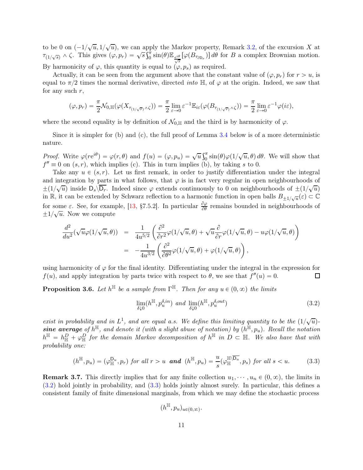to be 0 on  $\left(\frac{-1}{\sqrt{u}}, \frac{1}{\sqrt{u}}\right)$ , we can apply the Markov property, Remark [3.2,](#page-8-1) of the excursion X at  $\tau_{(1/\sqrt{s})} \wedge \zeta$ . This gives  $(\varphi, p_r) = \sqrt{s} \int_0^{\pi} \sin(\theta) \mathbb{E}_{\frac{e^{i\theta}}{\sqrt{s}}} [\varphi(B_{\tau_{\partial D_r}})] d\theta$  for B a complex Brownian motion. By harmonicity of  $\varphi$ , this quantity is equal to  $(\varphi, p_s)$  as required.

Actually, it can be seen from the argument above that the constant value of  $(\varphi, p_r)$  for  $r > u$ , is equal to  $\pi/2$  times the normal derivative, directed *into*  $\mathbb{H}$ , of  $\varphi$  at the origin. Indeed, we saw that for any such  $r$ ,

$$
(\varphi, p_r) = \frac{\pi}{2} \mathcal{N}_{0, \mathbb{H}}(\varphi(X_{\tau_{(1/\sqrt{r})}\wedge \zeta})) = \frac{\pi}{2} \lim_{\varepsilon \to 0} \varepsilon^{-1} \mathbb{E}_{i\varepsilon}(\varphi(B_{\tau_{(1/\sqrt{r})}\wedge \zeta})) = \frac{\pi}{2} \lim_{\varepsilon \to 0} \varepsilon^{-1} \varphi(i\varepsilon),
$$

where the second equality is by definition of  $\mathcal{N}_{0,\mathbb{H}}$  and the third is by harmonicity of  $\varphi$ .

Since it is simpler for  $(b)$  and  $(c)$ , the full proof of Lemma [3.4](#page-9-0) below is of a more deterministic nature.

*Proof.* Write  $\varphi(re^{i\theta}) = \varphi(r,\theta)$  and  $f(u) = (\varphi, p_u) = \sqrt{u} \int_0^{\pi} \sin(\theta) \varphi(1/\sqrt{u}, \theta) d\theta$ . We will show that  $f'' \equiv 0$  on  $(s, r)$ , which implies (c). This in turn implies (b), by taking s to 0.

Take any  $u \in (s, r)$ . Let us first remark, in order to justify differentiation under the integral and integration by parts in what follows, that  $\varphi$  is in fact very regular in open neighbourhoods of  $\pm (1/\sqrt{u})$  inside  $D_s\backslash \overline{D_r}$ . Indeed since  $\varphi$  extends continuously to 0 on neighbourhoods of  $\pm (1/\sqrt{u})$ in R, it can be extended by Schwarz reflection to a harmonic function in open balls  $B_{\pm 1/\sqrt{u}}(\varepsilon) \subset \mathbb{C}$ for some  $\varepsilon$ . See, for example, [\[13,](#page-25-9) §7.5.2]. In particular  $\frac{\partial \varphi}{\partial \theta}$  remains bounded in neighbourhoods of  $\pm 1/\sqrt{u}$ . Now we compute

$$
\frac{d^2}{du^2}(\sqrt{u}\varphi(1/\sqrt{u},\theta)) = \frac{1}{4u^{5/2}}\left(\frac{\partial^2}{\partial r^2}\varphi(1/\sqrt{u},\theta) + \sqrt{u}\frac{\partial}{\partial r}\varphi(1/\sqrt{u},\theta) - u\varphi(1/\sqrt{u},\theta)\right)
$$

$$
= -\frac{1}{4u^{3/2}}\left(\frac{\partial^2}{\partial \theta^2}\varphi(1/\sqrt{u},\theta) + \varphi(1/\sqrt{u},\theta)\right),
$$

using harmonicity of  $\varphi$  for the final identity. Differentiating under the integral in the expression for  $f(u)$ , and apply integration by parts twice with respect to  $\theta$ , we see that  $f''(u) = 0$ . 囗

<span id="page-10-2"></span>**Proposition 3.6.** Let  $h^{\mathbb{H}}$  be a sample from  $\Gamma^{\mathbb{H}}$ . Then for any  $u \in (0, \infty)$  the limits

<span id="page-10-0"></span>
$$
\lim_{\delta \downarrow 0} (h^{\mathbb{H}}, p_u^{\delta, in}) \text{ and } \lim_{\delta \downarrow 0} (h^{\mathbb{H}}, p_u^{\delta, out})
$$
\n(3.2)

exist in probability and in  $L^1$ , and are equal a.s. We define this limiting quantity to be the  $(1/\sqrt{u})$ . sine average of  $h^{\mathbb{H}}$ , and denote it (with a slight abuse of notation) by  $(h^{\mathbb{H}}, p_u)$ . Recall the notation  $h^{\mathbb{H}} = h^D_{\mathbb{H}} + \varphi^D_{\mathbb{H}}$  for the domain Markov decomposition of  $h^{\mathbb{H}}$  in  $D \subset \mathbb{H}$ . We also have that with probability one:

<span id="page-10-1"></span>
$$
(h^{\mathbb{H}}, p_u) = (\varphi_{\mathbb{H}}^{D_u}, p_r) \text{ for all } r > u \text{ and } (h^{\mathbb{H}}, p_u) = \frac{u}{s} (\varphi_{\mathbb{H}}^{\mathbb{H}\setminus \overline{D_u}}, p_s) \text{ for all } s < u. \tag{3.3}
$$

<span id="page-10-3"></span>**Remark 3.7.** This directly implies that for any finite collection  $u_1, \dots, u_n \in (0, \infty)$ , the limits in [\(3.2\)](#page-10-0) hold jointly in probability, and [\(3.3\)](#page-10-1) holds jointly almost surely. In particular, this defines a consistent family of finite dimensional marginals, from which we may define the stochastic process

$$
(h^{\mathbb H},p_u)_{u\in(0,\infty)}.
$$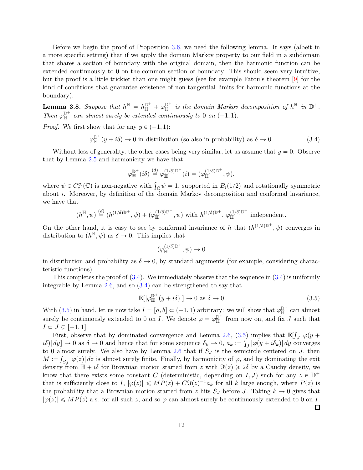Before we begin the proof of Proposition [3.6,](#page-10-2) we need the following lemma. It says (albeit in a more specific setting) that if we apply the domain Markov property to our field in a subdomain that shares a section of boundary with the original domain, then the harmonic function can be extended continuously to 0 on the common section of boundary. This should seem very intuitive, but the proof is a little trickier than one might guess (see for example Fatou's theorem [\[9\]](#page-24-10) for the kind of conditions that guarantee existence of non-tangential limits for harmonic functions at the boundary).

<span id="page-11-2"></span>**Lemma 3.8.** Suppose that  $h^{\mathbb{H}} = h^{\mathbb{D}^+}_{\mathbb{H}} + \varphi^{\mathbb{D}^+}_{\mathbb{H}}$  is the domain Markov decomposition of  $h^{\mathbb{H}}$  in  $\mathbb{D}^+$ . Then  $\varphi_{\mathbb{H}}^{\mathbb{D}^+}$  can almost surely be extended continuously to 0 on  $(-1, 1)$ .

*Proof.* We first show that for any  $y \in (-1, 1)$ :

<span id="page-11-0"></span>
$$
\varphi_{\mathbb{H}}^{\mathbb{D}^+}(y+i\delta) \to 0 \text{ in distribution (so also in probability) as } \delta \to 0. \tag{3.4}
$$

Without loss of generality, the other cases being very similar, let us assume that  $y = 0$ . Observe that by Lemma [2.5](#page-6-2) and harmonicity we have that

$$
\varphi^{{\mathbb D}^{+}}_{{\mathbb H}}(i\delta)\overset{(d)}{=}\varphi^{(1/\delta){\mathbb D}^{+}}_{{\mathbb H}}(i)=(\varphi^{(1/\delta){\mathbb D}^{+}}_{{\mathbb H}},\psi),
$$

where  $\psi \in C_c^{\infty}(\mathbb{C})$  is non-negative with  $\int_{\mathbb{C}} \psi = 1$ , supported in  $B_i(1/2)$  and rotationally symmetric about i. Moreover, by definition of the domain Markov decomposition and conformal invariance, we have that

$$
(h^{\mathbb{H}}, \psi) \stackrel{(d)}{=} (h^{(1/\delta)\mathbb{D}^+}, \psi) + (\varphi_{\mathbb{H}}^{(1/\delta)\mathbb{D}^+}, \psi)
$$
 with  $h^{(1/\delta)\mathbb{D}^+}$ ,  $\varphi_{\mathbb{H}}^{(1/\delta)\mathbb{D}^+}$  independent.

On the other hand, it is easy to see by conformal invariance of h that  $(h^{(1/\delta)\mathbb{D}^+}, \psi)$  converges in distribution to  $(h^{\mathbb{H}}, \psi)$  as  $\delta \to 0$ . This implies that

$$
(\varphi_{\mathbb H}^{(1/\delta)\mathbb D^{+}},\psi)\to 0
$$

in distribution and probability as  $\delta \to 0$ , by standard arguments (for example, considering characteristic functions).

This completes the proof of  $(3.4)$ . We immediately observe that the sequence in  $(3.4)$  is uniformly integrable by Lemma [2.6,](#page-6-3) and so [\(3.4\)](#page-11-0) can be strengthened to say that

<span id="page-11-1"></span>
$$
\mathbb{E}[|\varphi_{\mathbb{H}}^{\mathbb{D}^+}(y+i\delta)|] \to 0 \text{ as } \delta \to 0
$$
\n(3.5)

With [\(3.5\)](#page-11-1) in hand, let us now take  $I = [a, b] \subset (-1, 1)$  arbitrary: we will show that  $\varphi_{\mathbb{H}}^{\mathbb{D}^+}$  can almost surely be continuously extended to 0 on I. We denote  $\varphi = \varphi_{\mathbb{H}}^{\mathbb{D}^+}$  from now on, and fix J such that  $I \subset J \subsetneq [-1, 1].$ 

First, observe that by dominated convergence and Lemma [2.6,](#page-6-3) [\(3.5\)](#page-11-1) implies that  $\mathbb{E}[\int_J |\varphi(y +$  $i\delta$ | $dy$ ]  $\rightarrow 0$  as  $\delta \rightarrow 0$  and hence that for some sequence  $\delta_k \rightarrow 0$ ,  $a_k := \int_J |\varphi(y + i\delta_k)| dy$  converges to 0 almost surely. We also have by Lemma  $2.6$  that if  $S_J$  is the semicircle centered on J, then  $M := \int_{S_J} |\varphi(z)| dz$  is almost surely finite. Finally, by harmonicity of  $\varphi$ , and by dominating the exit density from  $\mathbb{H} + i\delta$  for Brownian motion started from z with  $\Im(z) \geq 2\delta$  by a Cauchy density, we know that there exists some constant C (deterministic, depending on I, J) such for any  $z \in \mathbb{D}^+$ that is sufficiently close to I,  $|\varphi(z)| \le MP(z) + C\Im(z)^{-1}a_k$  for all k large enough, where  $P(z)$  is the probability that a Brownian motion started from z hits  $S_J$  before J. Taking  $k \to 0$  gives that  $|\varphi(z)| \le MP(z)$  a.s. for all such z, and so  $\varphi$  can almost surely be continuously extended to 0 on I.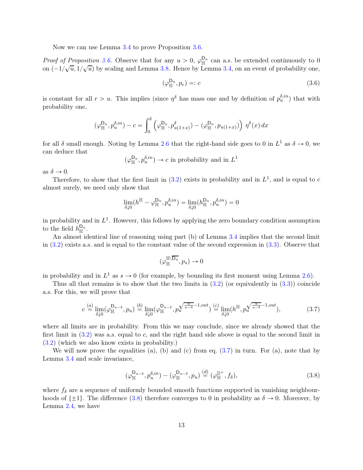Now we can use Lemma [3.4](#page-9-0) to prove Proposition [3.6.](#page-10-2)

*Proof of Proposition [3.6.](#page-10-2)* Observe that for any  $u > 0$ ,  $\varphi_{\mathbb{H}}^{D_u}$  can a.s. be extended continuously to 0 on  $\left(-1/\sqrt{u}, 1/\sqrt{u}\right)$  by scaling and Lemma [3.8.](#page-11-2) Hence by Lemma [3.4,](#page-9-0) on an event of probability one,

<span id="page-12-2"></span>
$$
(\varphi_{\mathbb{H}}^{\mathsf{D}_u}, p_r) =: c \tag{3.6}
$$

is constant for all  $r > u$ . This implies (since  $\eta^{\delta}$  has mass one and by definition of  $p_u^{\delta,in}$ ) that with probability one,

$$
(\varphi_{\mathbb{H}}^{\mathsf{D}_{u}},p_{u}^{\delta,in})-c=\int_{0}^{\delta}\left(\varphi_{\mathbb{H}}^{\mathsf{D}_{u}},p_{u(1+x)}^{\delta}\right)-\left(\varphi_{\mathbb{H}}^{\mathsf{D}_{u}},p_{u(1+x)}\right)\right)\eta^{\delta}(x)\,dx
$$

for all  $\delta$  small enough. Noting by Lemma [2.6](#page-6-3) that the right-hand side goes to 0 in  $L^1$  as  $\delta \to 0$ , we can deduce that

$$
(\varphi^{\mathsf{D}_u}_{\mathbb{H}},p^{\delta,in}_u)\rightarrow c
$$
 in probability and in  $L^1$ 

as  $\delta \rightarrow 0$ .

Therefore, to show that the first limit in  $(3.2)$  exists in probability and in  $L<sup>1</sup>$ , and is equal to c almost surely, we need only show that

$$
\lim_{\delta\downarrow 0}(h^{\mathbb H}-\varphi^{{\sf D}_u}_{\mathbb H},p^{\delta,in}_u)=\lim_{\delta\downarrow 0}(h^{{\sf D}_u}_{\mathbb H},p^{\delta,in}_u)=0
$$

in probability and in  $L^1$ . However, this follows by applying the zero boundary condition assumption to the field  $h_{\mathbb{H}}^{\mathsf{D}_u}$ .

An almost identical line of reasoning using part (b) of Lemma [3.4](#page-9-0) implies that the second limit in [\(3.2\)](#page-10-0) exists a.s. and is equal to the constant value of the second expression in [\(3.3\)](#page-10-1). Observe that

$$
(\varphi_{\mathbb H}^{{\mathbb H}\setminus\overline{{\mathsf D}_{u}}},p_s)\to 0
$$

in probability and in  $L^1$  as  $s \to 0$  (for example, by bounding its first moment using Lemma [2.6\)](#page-6-3).

Thus all that remains is to show that the two limits in  $(3.2)$  (or equivalently in  $(3.3)$ ) coincide a.s. For this, we will prove that

<span id="page-12-0"></span>
$$
c \stackrel{(a)}{=} \lim_{\delta \downarrow 0} (\varphi_{\mathbb{H}}^{\mathsf{D}_{u-\delta}}, p_u) \stackrel{(b)}{=} \lim_{\delta \downarrow 0} (\varphi_{\mathbb{H}}^{\mathsf{D}_{u-\delta}}, p_u^{\sqrt{\frac{u}{u-\delta}}-1,out}) \stackrel{(c)}{=} \lim_{\delta \downarrow 0} (h^{\mathbb{H}}, p_u^{\sqrt{\frac{u}{u-\delta}}-1,out}), \tag{3.7}
$$

where all limits are in probability. From this we may conclude, since we already showed that the first limit in  $(3.2)$  was a.s. equal to c, and the right hand side above is equal to the second limit in [\(3.2\)](#page-10-0) (which we also know exists in probability.)

We will now prove the equalities (a), (b) and (c) from eq.  $(3.7)$  in turn. For (a), note that by Lemma [3.4](#page-9-0) and scale invariance,

<span id="page-12-1"></span>
$$
(\varphi_{\mathbb{H}}^{\mathsf{D}_{u-\delta}}, p_{u}^{\delta,in}) - (\varphi_{\mathbb{H}}^{\mathsf{D}_{u-\delta}}, p_{u}) \stackrel{(d)}{=} (\varphi_{\mathbb{H}}^{\mathbb{D}^{+}}, f_{\delta}), \tag{3.8}
$$

where  $f_{\delta}$  are a sequence of uniformly bounded smooth functions supported in vanishing neighbourhoods of  $\{\pm 1\}$ . The difference [\(3.8\)](#page-12-1) therefore converges to 0 in probability as  $\delta \to 0$ . Moreover, by Lemma [2.4,](#page-6-0) we have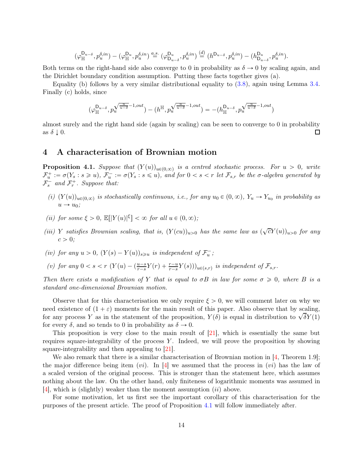$$
(\varphi_{\mathbb{H}}^{\mathsf{D}_{u-\delta}},p_{u}^{\delta,in})-(\varphi_{\mathbb{H}}^{\mathsf{D}_{u}},p_{u}^{\delta,in}) \stackrel{a.s.}{=} (\varphi_{\mathsf{D}_{u-\delta}}^{\mathsf{D}_{u}},p_{u}^{\delta,in}) \stackrel{(d)}{=} (h^{\mathsf{D}_{u-\delta}},p_{u}^{\delta,in})-(h_{\mathsf{D}_{u-\delta}}^{\mathsf{D}_{u}},p_{u}^{\delta,in}).
$$

Both terms on the right-hand side also converge to 0 in probability as  $\delta \rightarrow 0$  by scaling again, and the Dirichlet boundary condition assumption. Putting these facts together gives (a).

Equality (b) follows by a very similar distributional equality to  $(3.8)$ , again using Lemma [3.4.](#page-9-0) Finally (c) holds, since

$$
(\varphi_{\mathbb{H}}^{D_{u-\delta}},p_u^{\sqrt{\frac{u}{u-\delta}}-1,out})-(h^{\mathbb{H}},p_u^{\sqrt{\frac{u}{u-\delta}}-1,out})=-(h_{\mathbb{H}}^{D_{u-\delta}},p_u^{\sqrt{\frac{u}{u-\delta}}-1,out})
$$

almost surely and the right hand side (again by scaling) can be seen to converge to 0 in probability as  $\delta \downarrow 0$ .  $\Box$ 

### <span id="page-13-1"></span><span id="page-13-0"></span>4 A characterisation of Brownian motion

**Proposition 4.1.** Suppose that  $(Y(u))_{u\in(0,\infty)}$  is a centred stochastic process. For  $u > 0$ , write  $\mathcal{F}^+_u := \sigma(Y_s : s \geq u), \ \mathcal{F}^-_u := \sigma(Y_s : s \leq u), \text{ and for } 0 < s < r \text{ let } \mathcal{F}_{s,r}$  be the  $\sigma$ -algebra generated by  $\mathcal{F}_s^-$  and  $\mathcal{F}_r^+$ . Suppose that:

- (i)  $(Y(u))_{u\in(0,\infty)}$  is stochastically continuous, i.e., for any  $u_0 \in (0,\infty)$ ,  $Y_u \to Y_{u_0}$  in probability as  $u \rightarrow u_0$ ;
- (ii) for some  $\xi > 0$ ,  $\mathbb{E}[|Y(u)|^{\xi}] < \infty$  for all  $u \in (0, \infty)$ ;
- (iii) Y satisfies Brownian scaling, that is,  $(Y(cu))_{u>0}$  has the same law as  $(\sqrt{c}Y(u))_{u>0}$  for any  $c > 0;$
- (iv) for any  $u > 0$ ,  $(Y(s) Y(u))_{s \geq u}$  is independent of  $\mathcal{F}_u^-$ ;
- (v) for any  $0 < s < r$   $(Y(u) (\frac{u-s}{r-s}Y(r) + \frac{r-u}{r-s}Y(s)))_{u \in (s,r)}$  is independent of  $\mathcal{F}_{s,r}$ .

Then there exists a modification of Y that is equal to  $\sigma B$  in law for some  $\sigma \geq 0$ , where B is a standard one-dimensional Brownian motion.

Observe that for this characterisation we only require  $\xi > 0$ , we will comment later on why we need existence of  $(1 + \varepsilon)$  moments for the main result of this paper. Also observe that by scaling, for any process Y as in the statement of the proposition,  $Y(\delta)$  is equal in distribution to  $\sqrt{\delta}Y(1)$ for every  $\delta$ , and so tends to 0 in probability as  $\delta \to 0$ .

This proposition is very close to the main result of [\[21\]](#page-25-4), which is essentially the same but requires square-integrability of the process  $Y$ . Indeed, we will prove the proposition by showing square-integrability and then appealing to [\[21\]](#page-25-4).

We also remark that there is a similar characterisation of Brownian motion in  $[4,$  Theorem 1.9]; the major difference being item (*vi*). In [\[4\]](#page-24-0) we assumed that the process in (*vi*) has the law of a scaled version of the original process. This is stronger than the statement here, which assumes nothing about the law. On the other hand, only finiteness of logarithmic moments was assumed in [\[4\]](#page-24-0), which is (slightly) weaker than the moment assumption *(ii)* above.

<span id="page-13-2"></span>For some motivation, let us first see the important corollary of this characterisation for the purposes of the present article. The proof of Proposition [4.1](#page-13-0) will follow immediately after.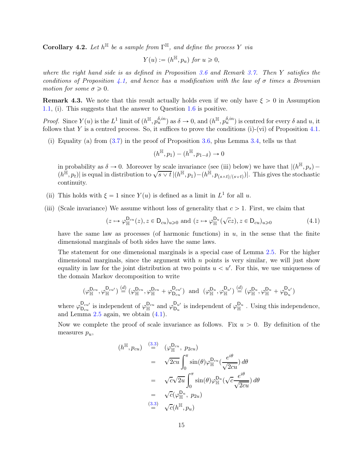**Corollary 4.2.** Let  $h^{\mathbb{H}}$  be a sample from  $\Gamma^{\mathbb{H}}$ , and define the process Y via

$$
Y(u) := (h^{\mathbb{H}}, p_u) \text{ for } u \geq 0,
$$

where the right hand side is as defined in Proposition [3.6](#page-10-2) and Remark [3.7.](#page-10-3) Then Y satisfies the conditions of Proposition [4.1,](#page-13-0) and hence has a modification with the law of  $\sigma$  times a Brownian motion for some  $\sigma \geq 0$ .

**Remark 4.3.** We note that this result actually holds even if we only have  $\xi > 0$  in Assumption [1.1,](#page-1-0) (i). This suggests that the answer to Question [1.6](#page-4-0) is positive.

*Proof.* Since  $Y(u)$  is the  $L^1$  limit of  $(h^{\mathbb{H}}, p_u^{\delta, in})$  as  $\delta \to 0$ , and  $(h^{\mathbb{H}}, p_u^{\delta, in})$  is centred for every  $\delta$  and  $u$ , it follows that Y is a centred process. So, it suffices to prove the conditions  $(i)-(vi)$  of Proposition [4.1.](#page-13-0)

(i) Equality (a) from [\(3.7\)](#page-12-0) in the proof of Proposition [3.6,](#page-10-2) plus Lemma [3.4,](#page-9-0) tells us that

$$
(h^{\mathbb{H}}, p_1) - (h^{\mathbb{H}}, p_{1-\delta}) \to 0
$$

in probability as  $\delta \to 0$ . Moreover by scale invariance (see (iii) below) we have that  $|(h^{\mathbb{H}}, p_s) (h^{\mathbb{H}}, p_t)$  is equal in distribution to  $\sqrt{s \vee t}$   $|(h^{\mathbb{H}}, p_1) - (h^{\mathbb{H}}, p_{(s \wedge t)/(s \vee t)})|$ . This gives the stochastic continuity.

- (ii) This holds with  $\xi = 1$  since  $Y(u)$  is defined as a limit in  $L^1$  for all u.
- (iii) (Scale invariance) We assume without loss of generality that  $c > 1$ . First, we claim that

<span id="page-14-0"></span>
$$
(z \mapsto \varphi_{\mathbb{H}}^{\mathcal{D}_{cu}}(z), z \in \mathcal{D}_{cu})_{u \geq 0} \text{ and } (z \mapsto \varphi_{\mathbb{H}}^{\mathcal{D}_{u}}(\sqrt{c}z), z \in \mathcal{D}_{cu})_{u \geq 0}
$$
(4.1)

have the same law as processes (of harmonic functions) in  $u$ , in the sense that the finite dimensional marginals of both sides have the same laws.

The statement for one dimensional marginals is a special case of Lemma [2.5.](#page-6-2) For the higher dimensional marginals, since the argument with  $n$  points is very similar, we will just show equality in law for the joint distribution at two points  $u < u'$ . For this, we use uniqueness of the domain Markov decomposition to write

$$
(\varphi_{\mathbb{H}}^{\mathsf{D}_{cu}},\varphi_{\mathbb{H}}^{\mathsf{D}_{cu'}}) \stackrel{(d)}{=} (\varphi_{\mathbb{H}}^{\mathsf{D}_{cu}},\varphi_{\mathbb{H}}^{\mathsf{D}_{cu}} + \varphi_{\mathsf{D}_{cu}}^{\mathsf{D}_{cu'}}) \text{ and } (\varphi_{\mathbb{H}}^{\mathsf{D}_{u}},\varphi_{\mathbb{H}}^{\mathsf{D}_{u'}}) \stackrel{(d)}{=} (\varphi_{\mathbb{H}}^{\mathsf{D}_{u}},\varphi_{\mathbb{H}}^{\mathsf{D}_{u}} + \varphi_{\mathsf{D}_{u}}^{\mathsf{D}_{u'}})
$$

where  $\varphi_{D_{cu}}^{D_{cu}}$  is independent of  $\varphi_{\mathbb{H}}^{D_{uc}}$  and  $\varphi_{D_{u}}^{D_{u'}}$  is independent of  $\varphi_{\mathbb{H}}^{D_{u}}$ . Using this independence, and Lemma  $2.5$  again, we obtain  $(4.1)$ .

Now we complete the proof of scale invariance as follows. Fix  $u > 0$ . By definition of the measures  $p_u$ ,

$$
(h^{\mathbb{H}}, p_{cu}) \stackrel{(3.3)}{=} (\varphi_{\mathbb{H}}^{D_{cu}}, p_{2cu})
$$
  
\n
$$
= \sqrt{2cu} \int_0^{\pi} \sin(\theta) \varphi_{\mathbb{H}}^{D_{cu}} \left(\frac{e^{i\theta}}{\sqrt{2cu}}\right) d\theta
$$
  
\n
$$
= \sqrt{c}\sqrt{2u} \int_0^{\pi} \sin(\theta) \varphi_{\mathbb{H}}^{D_{cu}} \left(\sqrt{c} \frac{e^{i\theta}}{\sqrt{2cu}}\right) d\theta
$$
  
\n
$$
= \sqrt{c}(\varphi_{\mathbb{H}}^{D_{u}}, p_{2u})
$$
  
\n
$$
\stackrel{(3.3)}{=} \sqrt{c}(h^{\mathbb{H}}, p_{u})
$$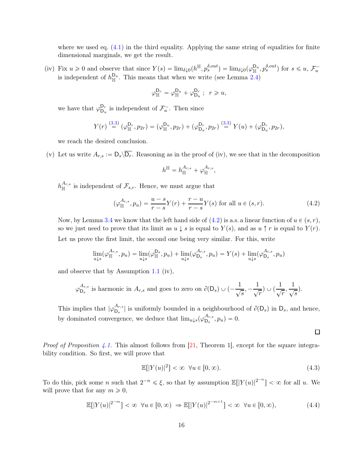where we used eq.  $(4.1)$  in the third equality. Applying the same string of equalities for finite dimensional marginals, we get the result.

(iv) Fix  $u \geq 0$  and observe that since  $Y(s) = \lim_{\delta \downarrow 0} (h^{\mathbb{H}}, p_s^{\delta, out}) = \lim_{\delta \downarrow 0} (\varphi_{\mathbb{H}}^{D_u}, p_s^{\delta, out})$  for  $s \leq u, \mathcal{F}_u^$ is independent of  $h_{\mathbb{H}}^{\mathsf{D}_u}$ . This means that when we write (see Lemma [2.4\)](#page-6-0)

$$
\varphi^{\mathsf{D}_r}_{\mathbb{H}}=\varphi^{\mathsf{D}_u}_{\mathbb{H}}+\varphi^{\mathsf{D}_r}_{\mathsf{D}_u}\;;\;\;r\geqslant u,
$$

we have that  $\varphi_{\mathsf{D}_r}^{\mathsf{D}_r}$  $D_{\nu}$  is independent of  $\mathcal{F}_{u}^-$ . Then since

$$
Y(r) \stackrel{(3.3)}{=} (\varphi_{\mathbb{H}}^{D_r}, p_{2r}) = (\varphi_{\mathbb{H}}^{D_u}, p_{2r}) + (\varphi_{D_u}^{D_r}, p_{2r}) \stackrel{(3.3)}{=} Y(u) + (\varphi_{D_u}^{D_r}, p_{2r}),
$$

we reach the desired conclusion.

(v) Let us write  $A_{r,s} := D_s \backslash \overline{D_r}$ . Reasoning as in the proof of (iv), we see that in the decomposition

$$
h^{\mathbb{H}}=h_{\mathbb{H}}^{A_{r,s}}+\varphi_{\mathbb{H}}^{A_{r,s}}
$$

 $h_{\mathbb{H}}^{A_{r,s}}$  is independent of  $\mathcal{F}_{s,r}$ . Hence, we must argue that

<span id="page-15-0"></span>
$$
(\varphi_{\mathbb{H}}^{A_{r,s}}, p_u) = \frac{u-s}{r-s}Y(r) + \frac{r-u}{r-s}Y(s) \text{ for all } u \in (s, r). \tag{4.2}
$$

,

Now, by Lemma [3.4](#page-9-0) we know that the left hand side of  $(4.2)$  is a.s. a linear function of  $u \in (s, r)$ , so we just need to prove that its limit as  $u \downarrow s$  is equal to  $Y(s)$ , and as  $u \uparrow r$  is equal to  $Y(r)$ . Let us prove the first limit, the second one being very similar. For this, write

$$
\lim_{u \downarrow s} (\varphi_{\mathbb{H}}^{A_{r,s}}, p_u) = \lim_{u \downarrow s} (\varphi_{\mathbb{H}}^{D_s}, p_u) + \lim_{u \downarrow s} (\varphi_{D_s}^{A_{r,s}}, p_u) = Y(s) + \lim_{u \downarrow s} (\varphi_{D_s}^{A_{r,s}}, p_u)
$$

and observe that by Assumption [1.1](#page-1-0) (iv),

$$
\varphi_{\mathsf{D}_s}^{A_{r,s}}
$$
 is harmonic in  $A_{r,s}$  and goes to zero on  $\partial(\mathsf{D}_s) \cup (-\frac{1}{\sqrt{s}}, -\frac{1}{\sqrt{r}}) \cup (\frac{1}{\sqrt{r}}, \frac{1}{\sqrt{s}})$ .

This implies that  $|\varphi_{D_s}^{A_{r,s}}|$  is uniformly bounded in a neighbourhood of  $\partial(D_s)$  in  $D_s$ , and hence, by dominated convergence, we deduce that  $\lim_{u \downarrow s} (\varphi_{\mathsf{D}_s}^{A_{r,s}}, p_u) = 0.$ 

 $\Box$ 

*Proof of Proposition [4.1.](#page-13-0)* This almost follows from [\[21,](#page-25-4) Theorem 1], except for the square integrability condition. So first, we will prove that

<span id="page-15-2"></span>
$$
\mathbb{E}[|Y(u)|^2] < \infty \ \forall u \in [0, \infty). \tag{4.3}
$$

To do this, pick some n such that  $2^{-n} \le \xi$ , so that by assumption  $\mathbb{E}[|Y(u)|^{2^{-n}}] < \infty$  for all u. We will prove that for any  $m \geq 0$ ,

<span id="page-15-1"></span>
$$
\mathbb{E}[|Y(u)|^{2^{-m}}] < \infty \ \forall u \in [0, \infty) \ \Rightarrow \mathbb{E}[|Y(u)|^{2^{-m+1}}] < \infty \ \forall u \in [0, \infty), \tag{4.4}
$$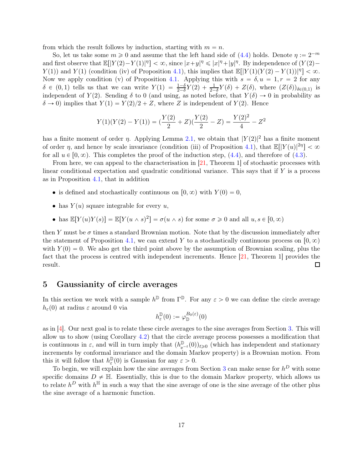from which the result follows by induction, starting with  $m = n$ .

So, let us take some  $m \ge 0$  and assume that the left hand side of [\(4.4\)](#page-15-1) holds. Denote  $\eta := 2^{-m}$ and first observe that  $\mathbb{E}[|Y(2)-Y(1)|^{\eta}]<\infty$ , since  $|x+y|^{\eta} \leq |x|^{\eta}+|y|^{\eta}$ . By independence of  $(Y(2)-Y(3)|^{\eta}]<\infty$ , since  $|x+y|^{\eta} \leq |x|^{\eta}+|y|^{\eta}$ .  $Y(1)$  and  $Y(1)$  (condition (iv) of Proposition [4.1\)](#page-13-0), this implies that  $\mathbb{E}[|Y(1)(Y(2) - Y(1))|^{\eta}] < \infty$ . Now we apply condition (v) of Proposition [4.1.](#page-13-0) Applying this with  $s = \delta, u = 1, r = 2$  for any  $\delta \in (0, 1)$  tells us that we can write  $Y(1) = \frac{1-\delta}{2-\delta}Y(2) + \frac{1}{2-\delta}Y(\delta) + Z(\delta)$ , where  $(Z(\delta))_{\delta \in (0,1)}$  is independent of  $Y(2)$ . Sending  $\delta$  to 0 (and using, as noted before, that  $Y(\delta) \to 0$  in probability as  $\delta \rightarrow 0$ ) implies that  $Y(1) = Y(2)/2 + Z$ , where Z is independent of  $Y(2)$ . Hence

$$
Y(1)(Y(2) - Y(1)) = \left(\frac{Y(2)}{2} + Z\right)\left(\frac{Y(2)}{2} - Z\right) = \frac{Y(2)^2}{4} - Z^2
$$

has a finite moment of order  $\eta$ . Applying Lemma [2.1,](#page-5-3) we obtain that  $|Y(2)|^2$  has a finite moment of order  $\eta$ , and hence by scale invariance (condition (iii) of Proposition [4.1\)](#page-13-0), that  $\mathbb{E}[|Y(u)|^{2\eta}] < \infty$ for all  $u \in [0, \infty)$ . This completes the proof of the induction step, [\(4.4\)](#page-15-1), and therefore of [\(4.3\)](#page-15-2).

From here, we can appeal to the characterisation in [\[21,](#page-25-4) Theorem 1] of stochastic processes with linear conditional expectation and quadratic conditional variance. This says that if  $Y$  is a process as in Proposition [4.1,](#page-13-0) that in addition

- is defined and stochastically continuous on  $[0, \infty)$  with  $Y(0) = 0$ ,
- has  $Y(u)$  square integrable for every u,
- has  $\mathbb{E}[Y(u)Y(s)] = \mathbb{E}[Y(u \wedge s)^2] = \sigma(u \wedge s)$  for some  $\sigma \geq 0$  and all  $u, s \in [0, \infty)$

then Y must be  $\sigma$  times a standard Brownian motion. Note that by the discussion immediately after the statement of Proposition [4.1,](#page-13-0) we can extend Y to a stochastically continuous process on  $[0, \infty)$ with  $Y(0) = 0$ . We also get the third point above by the assumption of Brownian scaling, plus the fact that the process is centred with independent increments. Hence [\[21,](#page-25-4) Theorem 1] provides the result. □

### <span id="page-16-0"></span>5 Gaussianity of circle averages

In this section we work with a sample  $h^{\mathbb{D}}$  from  $\Gamma^{\mathbb{D}}$ . For any  $\varepsilon > 0$  we can define the circle average  $h_{\varepsilon}(0)$  at radius  $\varepsilon$  around 0 via

$$
h_{\varepsilon}^{\mathbb{D}}(0) := \varphi_{\mathbb{D}}^{B_0(\varepsilon)}(0)
$$

as in [\[4\]](#page-24-0). Our next goal is to relate these circle averages to the sine averages from Section [3.](#page-7-1) This will allow us to show (using Corollary [4.2\)](#page-13-2) that the circle average process possesses a modification that is continuous in  $\varepsilon$ , and will in turn imply that  $(h_{e^{-t}}^{\mathbb{D}}(0))_{t\geq 0}$  (which has independent and stationary increments by conformal invariance and the domain Markov property) is a Brownian motion. From this it will follow that  $h_{\varepsilon}^{\mathbb{D}}(0)$  is Gaussian for any  $\varepsilon > 0$ . ε

To begin, we will explain how the sine averages from Section [3](#page-7-1) can make sense for  $h^D$  with some specific domains  $D \neq \mathbb{H}$ . Essentially, this is due to the domain Markov property, which allows us to relate  $h^D$  with  $h^{\mathbb{H}}$  in such a way that the sine average of one is the sine average of the other plus the sine average of a harmonic function.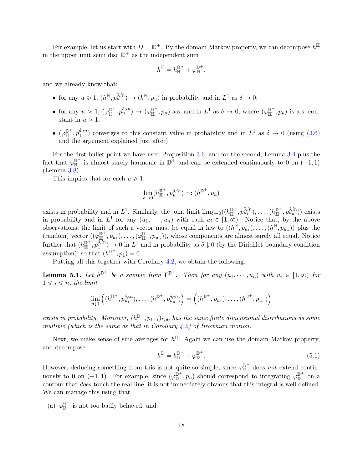For example, let us start with  $D = \mathbb{D}^+$ . By the domain Markov property, we can decompose  $h^{\mathbb{H}}$ in the upper unit semi disc  $\mathbb{D}^+$  as the independent sum

$$
h^{\mathbb{H}}=h^{\mathbb{D}^+}_{\mathbb{H}}+\varphi^{\mathbb{D}^+}_{\mathbb{H}},
$$

and we already know that:

- for any  $u \ge 1$ ,  $(h^{\mathbb{H}}, p_u^{\delta, in}) \to (h^{\mathbb{H}}, p_u)$  in probability and in  $L^1$  as  $\delta \to 0$ ;
- for any  $u > 1$ ,  $(\varphi_{\mathbb{H}}^{\mathbb{D}^+}, p_u^{\delta, in}) \to (\varphi_{\mathbb{H}}^{\mathbb{D}^+}, p_u)$  a.s. and in  $L^1$  as  $\delta \to 0$ , where  $(\varphi_{\mathbb{H}}^{\mathbb{D}^+}, p_u)$  is a.s. constant in  $u > 1$ :
- $\bullet$   $(\varphi_{\mathbb H}^{\mathbb D^{+}}, p_{1}^{\delta, in}$  $\delta_i^{(in)}$  converges to this constant value in probability and in  $L^1$  as  $\delta \to 0$  (using [\(3.6\)](#page-12-2) and the argument explained just after).

For the first bullet point we have used Proposition [3.6,](#page-10-2) and for the second, Lemma [3.4](#page-9-0) plus the fact that  $\varphi_{\mathbb{H}}^{\mathbb{D}^+}$  is almost surely harmonic in  $\mathbb{D}^+$  and can be extended continuously to 0 on  $(-1, 1)$ (Lemma [3.8\)](#page-11-2).

This implies that for each  $u \geq 1$ ,

$$
\lim_{\delta \to 0} (h^{\mathbb{D}^+}_{\mathbb{H}}, p^{\delta,in}_u) =: (h^{\mathbb{D}^+}, p_u)
$$

exists in probability and in  $L^1$ . Similarly, the joint limit  $\lim_{\delta \to 0} ((h_{\mathbb{H}}^{\mathbb{D}^+}, p_{u_1}^{\delta, in}), \dots, (h_{\mathbb{H}}^{\mathbb{D}^+}, p_{u_n}^{\delta, in}))$  exists in probability and in  $L^1$  for any  $(u_1, \dots, u_n)$  with each  $u_i \in [1, \infty)$ . Notice that, by the above observations, the limit of such a vector must be equal in law to  $((h^{\mathbb{H}}, p_{u_1}), \ldots, (h^{\mathbb{H}}, p_{u_n}))$  plus the  $(\text{random}) \text{ vector } ((\varphi_{\mathbb{H}}^{\mathbb{D}^+}, p_{u_1}), \ldots, (\varphi_{\mathbb{H}}^{\mathbb{D}^+}, p_{u_n})), \text{ whose components are almost surely all equal. Notice}$ further that  $(h_{\mathbb{H}}^{\mathbb{D}^+}, p_1^{\delta, in}$  $\binom{\delta, in}{1} \rightarrow 0$  in  $L^1$  and in probability as  $\delta \downarrow 0$  (by the Dirichlet boundary condition assumption), so that  $(h^{\mathbb{D}^+}, p_1) = 0$ .

<span id="page-17-1"></span>Putting all this together with Corollary [4.2,](#page-13-2) we obtain the following:

**Lemma 5.1.** Let  $h^{\mathbb{D}^+}$  be a sample from  $\Gamma^{\mathbb{D}^+}$ . Then for any  $(u_1, \dots, u_n)$  with  $u_i \in [1, \infty)$  for  $1 \leq i \leq n$ , the limit

$$
\lim_{\delta\downarrow 0}\left((h^{\mathbb{D}^+},p_{u_1}^{\delta,in}),\ldots,(h^{\mathbb{D}^+},p_{u_n}^{\delta,in})\right)=\left((h^{\mathbb{D}^+},p_{u_1}),\ldots,(h^{\mathbb{D}^+},p_{u_n})\right)
$$

exists in probability. Moreover,  $(h^{\mathbb{D}^+}, p_{1+t})_{t\geq 0}$  has the same finite dimensional distributions as some multiple (which is the same as that in Corollary  $(4.2)$  $(4.2)$  of Brownian motion.

Next, we make sense of sine averages for  $h^{\mathbb{D}}$ . Again we can use the domain Markov property, and decompose

<span id="page-17-0"></span>
$$
h^{\mathbb{D}} = h_{\mathbb{D}}^{\mathbb{D}^+} + \varphi_{\mathbb{D}}^{\mathbb{D}^+}.
$$
\n
$$
(5.1)
$$

However, deducing something from this is not quite so simple, since  $\varphi_{\mathbb{D}}^{\mathbb{D}^+}$  does not extend continuously to 0 on  $(-1, 1)$ . For example, since  $(\varphi_{\mathbb{D}}^{\mathbb{D}^+}, p_u)$  should correspond to integrating  $\varphi_{\mathbb{D}}^{\mathbb{D}^+}$  on a contour that does touch the real line, it is not immediately obvious that this integral is well defined. We can manage this using that

(a)  $\varphi_{\mathbb{D}}^{\mathbb{D}^+}$  is not too badly behaved, and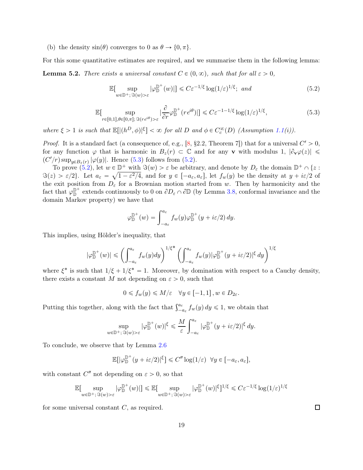(b) the density  $sin(\theta)$  converges to 0 as  $\theta \to \{0, \pi\}.$ 

For this some quantitative estimates are required, and we summarise them in the following lemma: **Lemma 5.2.** There exists a universal constant  $C \in (0, \infty)$ , such that for all  $\varepsilon > 0$ ,

<span id="page-18-1"></span>
$$
\mathbb{E}[\sup_{w \in \mathbb{D}^+; \Im(w) > \varepsilon} |\varphi_{\mathbb{D}}^{\mathbb{D}^+}(w)|] \leq C \varepsilon^{-1/\xi} \log(1/\varepsilon)^{1/\xi}; \text{ and } (5.2)
$$

<span id="page-18-0"></span>
$$
\mathbb{E}[\sup_{r\in[0,1],\theta\in[0,\pi];\,\Im(re^{i\theta})>\varepsilon}|\frac{\partial}{\partial r}\varphi_{\mathbb{D}}^{\mathbb{D}^+}(re^{i\theta})|]\leq C\varepsilon^{-1-1/\xi}\log(1/\varepsilon)^{1/\xi},\tag{5.3}
$$

where  $\xi > 1$  is such that  $\mathbb{E}[|(h^D, \phi)|^{\xi}] < \infty$  for all D and  $\phi \in C_c^{\infty}(D)$  (Assumption [1.1\(](#page-1-0)i)).

*Proof.* It is a standard fact (a consequence of, e.g., [\[8,](#page-24-11) §2.2, Theorem 7]) that for a universal  $C' > 0$ , for any function  $\varphi$  that is harmonic in  $B_z(r) \subset \mathbb{C}$  and for any v with modulus 1,  $|\partial_v\varphi(z)| \leq$  $(C'/r)$  sup<sub>yEBz</sub><sub>(r)</sub>  $|\varphi(y)|$ . Hence [\(5.3\)](#page-18-0) follows from [\(5.2\)](#page-18-1).

To prove  $(5.2)$ , let  $w \in \mathbb{D}^+$  with  $\Im(w) > \varepsilon$  be arbitrary, and denote by  $D_{\varepsilon}$  the domain  $\mathbb{D}^+ \cap \{z :$  $\Im(z) > \varepsilon/2$ . Let  $a_{\varepsilon} = \sqrt{1 - \varepsilon^2/4}$ , and for  $y \in [-a_{\varepsilon}, a_{\varepsilon}]$ , let  $f_w(y)$  be the density at  $y + i\varepsilon/2$  of the exit position from  $D_{\varepsilon}$  for a Brownian motion started from w. Then by harmonicity and the fact that  $\varphi_{\mathbb{D}}^{\mathbb{D}^+}$  extends continuously to 0 on  $\partial D_{\varepsilon} \cap \partial \mathbb{D}$  (by Lemma [3.8,](#page-11-2) conformal invariance and the domain Markov property) we have that

$$
\varphi_{\mathbb{D}}^{\mathbb{D}^+}(w) = \int_{-a_{\varepsilon}}^{a_{\varepsilon}} f_w(y) \varphi_{\mathbb{D}}^{\mathbb{D}^+}(y + i\varepsilon/2) dy.
$$

This implies, using Hölder's inequality, that

$$
|\varphi_{\mathbb{D}}^{\mathbb{D}^+}(w)| \leqslant \left(\int_{-a_{\varepsilon}}^{a_{\varepsilon}} f_w(y) dy\right)^{1/\xi^*} \left(\int_{-a_{\varepsilon}}^{a_{\varepsilon}} f_w(y) |\varphi_{\mathbb{D}}^{\mathbb{D}^+}(y + i\varepsilon/2)|^{\xi} dy\right)^{1/\xi}
$$

where  $\xi^*$  is such that  $1/\xi + 1/\xi^* = 1$ . Moreover, by domination with respect to a Cauchy density, there exists a constant M not depending on  $\varepsilon > 0$ , such that

$$
0 \leqslant f_w(y) \leqslant M/\varepsilon \quad \forall y \in [-1,1], w \in D_{2\varepsilon}.
$$

Putting this together, along with the fact that  $\int_{-a_{\varepsilon}}^{a_{\varepsilon}} f_w(y) dy \le 1$ , we obtain that

$$
\sup_{w \in \mathbb{D}^+; \Im(w) > \varepsilon} |\varphi_{\mathbb{D}}^{\mathbb{D}^+}(w)|^{\xi} \leq \frac{M}{\varepsilon} \int_{-a_{\varepsilon}}^{a_{\varepsilon}} |\varphi_{\mathbb{D}}^{\mathbb{D}^+}(y + i\varepsilon/2)|^{\xi} dy.
$$

To conclude, we observe that by Lemma [2.6](#page-6-3)

$$
\mathbb{E}\big[|\varphi_{\mathbb{D}}^{\mathbb{D}^+}(y+i\varepsilon/2)|^{\xi}\big] \leqslant C''\log(1/\varepsilon) \ \ \forall y \in [-a_{\varepsilon}, a_{\varepsilon}],
$$

with constant  $C''$  not depending on  $\varepsilon > 0$ , so that

$$
\mathbb{E}[\sup_{w\in\mathbb{D}^+;\, \Im(w)>\varepsilon}|\varphi^{\mathbb{D}^+}_{\mathbb{D}}(w)|]\leqslant \mathbb{E}[\sup_{w\in\mathbb{D}^+;\, \Im(w)>\varepsilon}|\varphi^{\mathbb{D}^+}_{\mathbb{D}}(w)|^{\xi}]^{1/\xi}\leqslant C\varepsilon^{-1/\xi}\log(1/\varepsilon)^{1/\xi}
$$

for some universal constant  $C$ , as required.

 $\Box$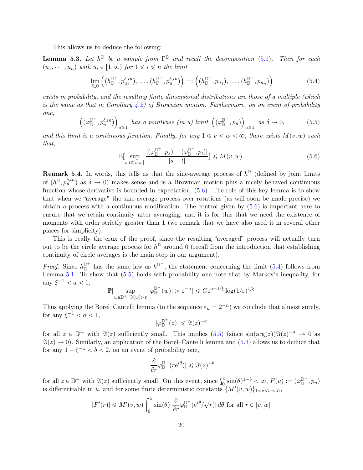This allows us to deduce the following:

**Lemma 5.3.** Let  $h^{\mathbb{D}}$  be a sample from  $\Gamma^{\mathbb{D}}$  and recall the decomposition [\(5.1\)](#page-17-0). Then for each  $(u_1, \dots, u_n)$  with  $u_i \in [1, \infty)$  for  $1 \leq i \leq n$  the limit

<span id="page-19-1"></span>
$$
\lim_{\delta \downarrow 0} \left( (h_{\mathbb{D}}^{\mathbb{D}^+}, p_{u_1}^{\delta, in}), \dots, (h_{\mathbb{D}}^{\mathbb{D}^+}, p_{u_n}^{\delta, in}) \right) =: \left( (h_{\mathbb{D}}^{\mathbb{D}^+}, p_{u_1}), \dots, (h_{\mathbb{D}}^{\mathbb{D}^+}, p_{u_n}) \right)
$$
(5.4)

exists in probability, and the resulting finite dimensional distributions are those of a multiple (which is the same as that in Corollary [4.2\)](#page-13-2) of Brownian motion. Furthermore, on an event of probability one,

<span id="page-19-2"></span>
$$
\left( (\varphi_{\mathbb{D}}^{\mathbb{D}^+}, p_u^{\delta, in}) \right)_{u \geq 1} \text{ has a pointwise (in u) limit } \left( (\varphi_{\mathbb{D}}^{\mathbb{D}^+}, p_u) \right)_{u \geq 1} \text{ as } \delta \to 0,
$$
 (5.5)

and this limit is a continuous function. Finally, for any  $1 \le v \le w \le \infty$ , there exists  $M(v, w)$  such that,

<span id="page-19-0"></span>
$$
\mathbb{E}[\sup_{s,t\in[v,w]} \frac{|(\varphi_{\mathbb{D}}^{\mathbb{D}^+},p_s) - (\varphi_{\mathbb{D}}^{\mathbb{D}^+},p_t)|}{|s-t|}] \leqslant M(v,w).
$$
\n(5.6)

**Remark 5.4.** In words, this tells us that the sine-average process of  $h^{\mathbb{D}}$  (defined by joint limits of  $(h^{\mathbb{D}}, p_u^{\delta,in})$  as  $\delta \to 0$ ) makes sense and is a Brownian motion plus a nicely behaved continuous function whose derivative is bounded in expectation, [\(5.6\)](#page-19-0). The role of this key lemma is to show that when we "average" the sine-average process over rotations (as will soon be made precise) we obtain a process with a continuous modification. The control given by [\(5.6\)](#page-19-0) is important here to ensure that we retain continuity after averaging, and it is for this that we need the existence of moments with order strictly greater than 1 (we remark that we have also used it in several other places for simplicity).

This is really the crux of the proof, since the resulting "averaged" process will actually turn out to be the circle average process for  $h^{\mathbb{D}}$  around 0 (recall from the introduction that establishing continuity of circle averages is the main step in our argument).

*Proof.* Since  $h_{\mathbb{D}}^{\mathbb{D}^+}$  has the same law as  $h^{\mathbb{D}^+}$ , the statement concerning the limit [\(5.4\)](#page-19-1) follows from Lemma [5.1.](#page-17-1) To show that  $(5.5)$  holds with probability one note that by Markov's inequality, for any  $\xi^{-1} < a < 1$ ,

$$
\mathbb{P}[\sup_{w\in\mathbb{D}^+;\, \Im(w)>\varepsilon}|\varphi^{\mathbb{D}^+}_{\mathbb{D}}(w)|>\varepsilon^{-a}]\leqslant C\varepsilon^{a-1/\xi}\log(1/\varepsilon)^{1/\xi}
$$

Thus applying the Borel–Cantelli lemma (to the sequence  $\varepsilon_n = 2^{-n}$ ) we conclude that almost surely, for any  $\xi^{-1} < a < 1$ ,

$$
|\varphi_{\mathbb{D}}^{\mathbb{D}^+}(z)| \leqslant \Im(z)^{-a}
$$

for all  $z \in \mathbb{D}^+$  with  $\Im(z)$  sufficiently small. This implies  $(5.5)$  (since  $\sin(\arg(z))\Im(z)^{-a} \to 0$  as  $\Im(z) \to 0$ ). Similarly, an application of the Borel–Cantelli lemma and [\(5.3\)](#page-18-0) allows us to deduce that for any  $1 + \xi^{-1} < b < 2$ , on an event of probability one,

$$
\left|\frac{\partial}{\partial r}\varphi_{\mathbb{D}}^{\mathbb{D}^+}(re^{i\theta})\right| \leqslant \Im(z)^{-b}
$$

for all  $z \in \mathbb{D}^+$  with  $\Im(z)$  sufficiently small. On this event, since  $\int_0^{\pi} \sin(\theta)^{1-b} < \infty$ ,  $F(u) := (\varphi_{\mathbb{D}}^{\mathbb{D}^+}, p_u)$ is differentiable in u, and for some finite deterministic constants  $\{M'(v, w)\}_{1 \le v \le w \le \infty}$ ,

$$
|F'(r)| \le M'(v, w) \int_0^{\pi} \sin(\theta) |\frac{\partial}{\partial r} \varphi_{\mathbb{D}}^{\mathbb{D}^+} (e^{i\theta}/\sqrt{r})| d\theta \text{ for all } r \in [v, w]
$$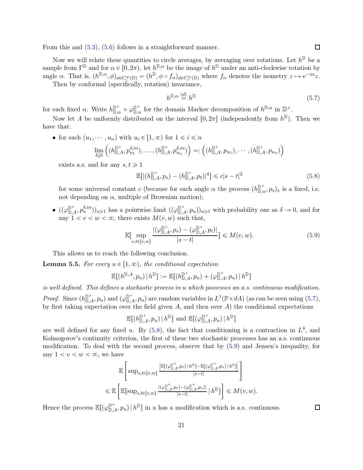From this and [\(5.3\)](#page-18-0), [\(5.6\)](#page-19-0) follows in a straightforward manner.

Now we will relate these quantities to circle averages, by averaging over rotations. Let  $h^{\mathbb{D}}$  be a sample from  $\Gamma^{\mathbb{D}}$  and for  $\alpha \in [0, 2\pi)$ , let  $h^{\mathbb{D}, \alpha}$  be the image of  $h^{\mathbb{D}}$  under an anti-clockwise rotation by angle  $\alpha$ . That is,  $(h^{\mathbb{D}, \alpha}, \phi)_{\phi \in C_c^{\infty}(\mathbb{D})} = (h^{\mathbb{D}}, \phi \circ f_{\alpha})_{\phi \in C_c^{\infty}(\mathbb{D})}$  where  $f_{\alpha}$  denotes the isometry  $z \mapsto e^{-i\alpha}z$ .

Then by conformal (specifically, rotation) invariance,

<span id="page-20-0"></span>
$$
h^{\mathbb{D},\alpha} \stackrel{(d)}{=} h^{\mathbb{D}} \tag{5.7}
$$

for each fixed  $\alpha$ . Write  $h_{\mathbb{D},\alpha}^{\mathbb{D}^+} + \varphi_{\mathbb{D},\alpha}^{\mathbb{D}^+}$  for the domain Markov decomposition of  $h^{\mathbb{D},\alpha}$  in  $\mathbb{D}^+$ .

Now let A be uniformly distributed on the interval  $[0, 2\pi]$  (independently from  $h^{\mathbb{D}}$ ). Then we have that:

• for each  $(u_1, \dots, u_n)$  with  $u_i \in [1, \infty)$  for  $1 \leq i \leq n$ 

$$
\lim_{\delta\downarrow 0}\left((h^{\mathbb{D}^+}_{\mathbb{D},A},p^{\delta,in}_{u_1}),\ldots,(h^{\mathbb{D}^+}_{\mathbb{D},A},p^{\delta,in}_{u_n})\right) =: \left((h^{\mathbb{D}^+}_{\mathbb{D},A},p_{u_1}),\cdots,(h^{\mathbb{D}^+}_{\mathbb{D},A},p_{u_n})\right)
$$

exists a.s. and for any  $s, t \geq 1$ 

<span id="page-20-1"></span>
$$
\mathbb{E}[|(h_{\mathbb{D},A}^{\mathbb{D}^+}, p_s) - (h_{\mathbb{D},A}^{\mathbb{D}^+}, p_t)|^4] \le c|s - t|^2
$$
\n(5.8)

for some universal constant c (because for each angle  $\alpha$  the process  $(h_{\mathbb{D},\alpha}^{\mathbb{D}^+}, p_s)_s$  is a fixed, i.e. not depending on  $\alpha$ , multiple of Brownian motion);

 $\bullet$   $((\varphi_{\mathbb{D},A}^{\mathbb{D}^+}, p_u^{\delta,in})_{u\geq 1}$  has a pointwise limit  $((\varphi_{\mathbb{D},A}^{\mathbb{D}^+}, p_u))_{u\geq 1}$  with probability one as  $\delta \to 0$ , and for any  $1 < v < w < \infty$ , there exists  $M(v, w)$  such that,

<span id="page-20-2"></span>
$$
\mathbb{E}[\sup_{s,t\in[v,w]} \frac{|(\varphi_{\mathbb{D},A}^{\mathbb{D}^+}, p_s) - (\varphi_{\mathbb{D},A}^{\mathbb{D}^+}, p_t)|}{|s-t|}] \leqslant M(v,w). \tag{5.9}
$$

This allows us to reach the following conclusion.

**Lemma 5.5.** For every  $u \in [1, \infty)$ , the conditional expectation

$$
\mathbb{E}[(h^{\mathbb{D},A},p_u) | h^{\mathbb{D}}] := \mathbb{E}[(h^{\mathbb{D}^+}_{\mathbb{D},A},p_u) + (\varphi^{\mathbb{D}^+}_{\mathbb{D},A},p_u) | h^{\mathbb{D}}]
$$

is well defined. This defines a stochastic process in u which possesses an a.s. continuous modification. *Proof.* Since  $(h_{\mathbb{D},A}^{\mathbb{D}^+}, p_u)$  and  $(\varphi_{\mathbb{D},A}^{\mathbb{D}^+}, p_u)$  are random variables in  $L^1(\mathbb{P} \times dA)$  (as can be seen using  $(5.7)$ , by first taking expectation over the field given  $A$ , and then over  $A$ ) the conditional expectations

 $\mathbb{E} \bigl[ (h^{\mathbb{D}^+}_{\mathbb{D},A}, p_u) \, | \, h^{\mathbb{D}} \bigr]$  and  $\mathbb{E} \bigl[ (\varphi^{\mathbb{D}^+}_{\mathbb{D},A}, p_u) \, | \, h^{\mathbb{D}} \bigr]$ 

are well defined for any fixed u. By  $(5.8)$ , the fact that conditioning is a contraction in  $L<sup>4</sup>$ , and Kolmogorov's continuity criterion, the first of these two stochastic processes has an a.s. continuous modification. To deal with the second process, observe that by [\(5.9\)](#page-20-2) and Jensen's inequality, for any  $1 < v < w < \infty$ , we have

$$
\mathbb{E}\left[\sup_{s,t\in[v,w]}\frac{\mathbb{E}[(\varphi^{\mathbb{D}^+}_{\mathbb{D},A},p_t)|h^{\mathbb{D}}]-\mathbb{E}[(\varphi^{\mathbb{D}^+}_{\mathbb{D},A},p_s)|h^{\mathbb{D}}]}\Big|}{|s-t|}\right]
$$
  

$$
\leq \mathbb{E}\left[\mathbb{E}[\sup_{s,t\in[v,w]}\frac{|(\varphi^{\mathbb{D}^+}_{\mathbb{D},A},p_t)-(\varphi^{\mathbb{D}^+}_{\mathbb{D},A},p_s)|}{|s-t|}|h^{\mathbb{D}}]\right] \leq M(v,w).
$$

Hence the process  $\mathbb{E}[(\varphi_{\mathbb{D},A}^{\mathbb{D}^+}, p_u) | h^{\mathbb{D}}]$  in u has a modification which is a.s. continuous.

 $\Box$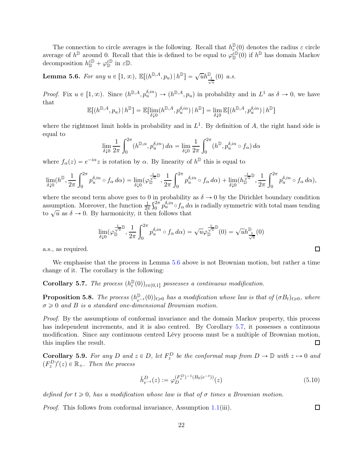The connection to circle averages is the following. Recall that  $h_{\varepsilon}^{\mathbb{D}}$  $\mathbb{P}(0)$  denotes the radius  $\varepsilon$  circle average of  $h^{\mathbb{D}}$  around 0. Recall that this is defined to be equal to  $\varphi_{\mathbb{D}}^{\tilde{\epsilon}\mathbb{D}}(0)$  if  $h^{\mathbb{D}}$  has domain Markov decomposition  $h_{\mathbb{D}}^{\varepsilon\mathbb{D}} + \varphi_{\mathbb{D}}^{\varepsilon\mathbb{D}}$  in  $\varepsilon\mathbb{D}$ .

<span id="page-21-2"></span>**Lemma 5.6.** For any  $u \in [1, \infty)$ ,  $\mathbb{E}[(h^{\mathbb{D}, A}, p_u) | h^{\mathbb{D}}] = \sqrt{u}h^{\mathbb{D}} \frac{1}{\sqrt{u}}(0)$  a.s.

*Proof.* Fix  $u \in [1, \infty)$ . Since  $(h^{\mathbb{D},A}, p_u^{\delta,in}) \to (h^{\mathbb{D},A}, p_u)$  in probability and in  $L^1$  as  $\delta \to 0$ , we have that

$$
\mathbb{E}[(h^{\mathbb{D},A},p_u) | h^{\mathbb{D}}] = \mathbb{E}[\lim_{\delta \downarrow 0} (h^{\mathbb{D},A},p^{\delta,in}_u) | h^{\mathbb{D}}] = \lim_{\delta \downarrow 0} \mathbb{E}[(h^{\mathbb{D},A},p^{\delta,in}_u) | h^{\mathbb{D}}]
$$

where the rightmost limit holds in probability and in  $L<sup>1</sup>$ . By definition of A, the right hand side is equal to

$$
\lim_{\delta \downarrow 0} \frac{1}{2\pi} \int_0^{2\pi} (h^{\mathbb{D}, \alpha}, p_u^{\delta, in}) d\alpha = \lim_{\delta \downarrow 0} \frac{1}{2\pi} \int_0^{2\pi} (h^{\mathbb{D}}, p_u^{\delta, in} \circ f_\alpha) d\alpha
$$

where  $f_{\alpha}(z) = e^{-i\alpha}z$  is rotation by  $\alpha$ . By linearity of  $h^{\mathbb{D}}$  this is equal to

$$
\lim_{\delta \downarrow 0} (h^{\mathbb{D}}, \frac{1}{2\pi} \int_0^{2\pi} p_u^{\delta, in} \circ f_\alpha \, d\alpha) = \lim_{\delta \downarrow 0} (\varphi_{\mathbb{D}}^{\frac{1}{\sqrt{u}} \mathbb{D}}, \frac{1}{2\pi} \int_0^{2\pi} p_u^{\delta, in} \circ f_\alpha \, d\alpha) + \lim_{\delta \downarrow 0} (h_{\mathbb{D}}^{\frac{1}{\sqrt{u}} \mathbb{D}}, \frac{1}{2\pi} \int_0^{2\pi} p_u^{\delta, in} \circ f_\alpha \, d\alpha),
$$

where the second term above goes to 0 in probability as  $\delta \to 0$  by the Dirichlet boundary condition assumption. Moreover, the function  $\frac{1}{2\pi} \int_0^{2\pi}$  $\int_0^{2\pi} p_u^{\delta,in} \circ f_\alpha \, d\alpha$  is radially symmetric with total mass tending to  $\sqrt{u}$  as  $\delta \to 0$ . By harmonicity, it then follows that

$$
\lim_{\delta \downarrow 0} (\varphi_{\mathbb{D}}^{\frac{1}{\sqrt{u}} \mathbb{D}}, \frac{1}{2\pi} \int_0^{2\pi} p_u^{\delta, in} \circ f_\alpha \, d\alpha) = \sqrt{u} \varphi_{\mathbb{D}}^{\frac{1}{\sqrt{u}} \mathbb{D}}(0) = \sqrt{u} h_{\frac{1}{\sqrt{u}}}^{\mathbb{D}}(0)
$$

a.s., as required.

<span id="page-21-0"></span>We emphasise that the process in Lemma [5.6](#page-21-2) above is not Brownian motion, but rather a time change of it. The corollary is the following:

Corollary 5.7. The process  $(h_{\varepsilon}^{\mathbb{D}})$  $(\mathbb{D}(0))_{\varepsilon\in(0,1]}$  possesses a continuous modification.

<span id="page-21-1"></span>**Proposition 5.8.** The process  $(h_{e^{-t}}^{\mathbb{D}}(0))_{t\geq0}$  has a modification whose law is that of  $(\sigma B_t)_{t\geq0}$ , where  $\sigma \geqslant 0$  and B is a standard one-dimensional Brownian motion.

Proof. By the assumptions of conformal invariance and the domain Markov property, this process has independent increments, and it is also centred. By Corollary [5.7,](#page-21-0) it possesses a continuous modification. Since any continuous centred Lévy process must be a multiple of Brownian motion, this implies the result.  $\Box$ 

**Corollary 5.9.** For any D and  $z \in D$ , let  $F_z^D$  be the conformal map from  $D \to \mathbb{D}$  with  $z \mapsto 0$  and  $(F_z^D)'(z) \in \mathbb{R}_+$ . Then the process

<span id="page-21-3"></span>
$$
\hat{h}_{e^{-t}}^D(z) := \varphi_D^{(F_z^D)^{-1}(B_0(e^{-t}))}(z)
$$
\n(5.10)

defined for  $t \geq 0$ , has a modification whose law is that of  $\sigma$  times a Brownian motion.

Proof. This follows from conformal invariance, Assumption [1.1\(](#page-1-0)iii).

 $\Box$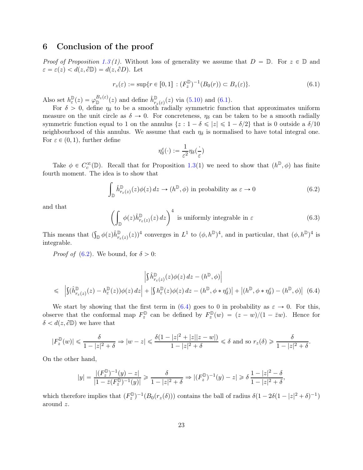## 6 Conclusion of the proof

*Proof of Proposition [1.3](#page-2-0) (1).* Without loss of generality we assume that  $D = \mathbb{D}$ . For  $z \in \mathbb{D}$  and  $\varepsilon = \varepsilon(z) < d(z, \partial \mathbb{D}) = d(z, \partial D)$ . Let

<span id="page-22-0"></span>
$$
r_z(\varepsilon) := \sup \{ r \in [0, 1] : (F_z^{\mathbb{D}})^{-1}(B_0(r)) \subset B_z(\varepsilon) \}. \tag{6.1}
$$

Also set  $h_{\varepsilon}^{\mathbb{D}}$  $\mathbb{P}_{\varepsilon}(z) = \varphi_{\mathbb{D}}^{B_z(\varepsilon)}(z)$  and define  $\hat{h}_{r_z(\varepsilon)}^{\mathbb{D}}(z)$  via [\(5.10\)](#page-21-3) and [\(6.1\)](#page-22-0).

For  $\delta > 0$ , define  $\eta_{\delta}$  to be a smooth radially symmetric function that approximates uniform measure on the unit circle as  $\delta \to 0$ . For concreteness,  $\eta_{\delta}$  can be taken to be a smooth radially symmetric function equal to 1 on the annulus  $\{z : 1 - \delta \leqslant |z| \leqslant 1 - \delta/2\}$  that is 0 outside a  $\delta/10$ neighbourhood of this annulus. We assume that each  $\eta_{\delta}$  is normalised to have total integral one. For  $\varepsilon \in (0, 1)$ , further define

$$
\eta^\varepsilon_\delta(\cdot):=\frac{1}{\varepsilon^2}\eta_\delta(\frac{\cdot}{\varepsilon})
$$

Take  $\phi \in C_c^{\infty}(\mathbb{D})$ . Recall that for Proposition [1.3\(](#page-2-0)1) we need to show that  $(h^{\mathbb{D}}, \phi)$  has finite fourth moment. The idea is to show that

<span id="page-22-1"></span>
$$
\int_{\mathbb{D}} \hat{h}_{r_{\varepsilon}(z)}^{\mathbb{D}}(z)\phi(z) dz \to (h^{\mathbb{D}}, \phi) \text{ in probability as } \varepsilon \to 0 \tag{6.2}
$$

and that

<span id="page-22-3"></span>
$$
\left(\int_{\mathbb{D}} \phi(z) \hat{h}^{\mathbb{D}}_{r_{\varepsilon}(z)}(z) dz\right)^{4}
$$
 is uniformly integrable in  $\varepsilon$  (6.3)

This means that  $(\int_{\mathbb{D}} \phi(z) \hat{h}_{r_{\varepsilon}(z)}^{\mathbb{D}}(z))^4$  converges in  $L^1$  to  $(\phi, h^{\mathbb{D}})^4$ , and in particular, that  $(\phi, h^{\mathbb{D}})^4$  is integrable.

*Proof of* [\(6.2\)](#page-22-1). We bound, for  $\delta > 0$ :

<span id="page-22-2"></span>
$$
\left| \int \hat{h}^{\mathbb{D}}_{r_{\varepsilon}(z)}(z) \phi(z) dz - (h^{\mathbb{D}}, \phi) \right|
$$
  
\n
$$
\leq \left| \int (\hat{h}^{\mathbb{D}}_{r_{\varepsilon}(z)}(z) - h^{\mathbb{D}}_{\varepsilon}(z)) \phi(z) dz \right| + \left| \int h^{\mathbb{D}}_{\varepsilon}(z) \phi(z) dz - (h^{\mathbb{D}}, \phi * \eta_{\delta}^{\varepsilon}) \right| + \left| (h^{\mathbb{D}}, \phi * \eta_{\delta}^{\varepsilon}) - (h^{\mathbb{D}}, \phi) \right| \tag{6.4}
$$

We start by showing that the first term in [\(6.4\)](#page-22-2) goes to 0 in probability as  $\varepsilon \to 0$ . For this, observe that the conformal map  $F_z^{\mathbb{D}}$  $F_z^{\mathbb{D}}$  can be defined by  $F_z^{\mathbb{D}}$  $\lim_{z \to z}(w) = (z - w)/(1 - \overline{z}w)$ . Hence for  $\delta < d(z, \partial \mathbb{D})$  we have that

$$
|F_z^{\mathbb{D}}(w)| \leq \frac{\delta}{1-|z|^2+\delta} \Rightarrow |w-z| \leq \frac{\delta(1-|z|^2+|z||z-w|)}{1-|z|^2+\delta} \leq \delta \text{ and so } r_z(\delta) \geq \frac{\delta}{1-|z|^2+\delta}.
$$

On the other hand,

$$
|y| = \frac{|(F_z^{\mathbb{D}})^{-1}(y) - z|}{|1 - \bar{z}(F_z^{\mathbb{D}})^{-1}(y)|} \ge \frac{\delta}{1 - |z|^2 + \delta} \Rightarrow |(F_z^{\mathbb{D}})^{-1}(y) - z| \ge \delta \frac{1 - |z|^2 - \delta}{1 - |z|^2 + \delta},
$$

which therefore implies that  $(F_z^{\mathbb{D}})$  $\int_z^p$ )<sup>-1</sup>( $B_0(r_z(\delta))$ ) contains the ball of radius  $\delta(1-2\delta(1-|z|^2+\delta)^{-1})$ around z.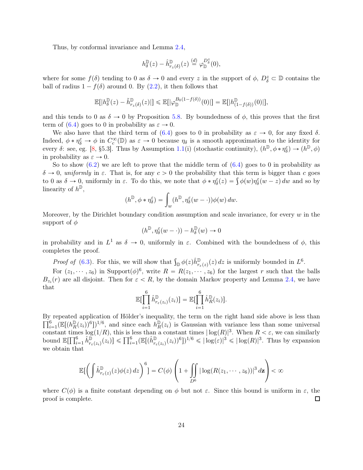Thus, by conformal invariance and Lemma [2.4,](#page-6-0)

$$
h_\delta^{\mathbb{D}}(z)-\hat{h}^{\mathbb{D}}_{r_z(\delta)}(z)\overset{(d)}{=}\varphi_{\mathbb{D}}^{D_{\delta}^z}(0),
$$

where for some  $f(\delta)$  tending to 0 as  $\delta \to 0$  and every z in the support of  $\phi$ ,  $D_{\delta}^z \subset \mathbb{D}$  contains the ball of radius  $1 - f(\delta)$  around 0. By [\(2.2\)](#page-6-1), it then follows that

$$
\mathbb{E}[|h^\mathbb{D}_{\delta}(z) - \tilde{h}^\mathbb{D}_{r_z(\delta)}(z)|] \leq \mathbb{E}[|\varphi^{B_0(1-f(\delta))}_{\mathbb{D}}(0)|] = \mathbb{E}[|h^\mathbb{D}_{(1-f(\delta))}(0)|],
$$

and this tends to 0 as  $\delta \to 0$  by Proposition [5.8.](#page-21-1) By boundedness of  $\phi$ , this proves that the first term of [\(6.4\)](#page-22-2) goes to 0 in probability as  $\varepsilon \to 0$ .

We also have that the third term of [\(6.4\)](#page-22-2) goes to 0 in probability as  $\varepsilon \to 0$ , for any fixed  $\delta$ . Indeed,  $\phi * \eta_{\delta}^{\varepsilon} \to \phi$  in  $C_c^{\infty}(\mathbb{D})$  as  $\varepsilon \to 0$  because  $\eta_{\delta}$  is a smooth approximation to the identity for every  $\delta$ : see, eg. [\[8,](#page-24-11) §5.3]. Thus by Assumption [1.1\(](#page-1-0)i) (stochastic continuity),  $(h^{\mathbb{D}}, \phi * \eta_{\delta}^{\varepsilon}) \to (h^{\mathbb{D}}, \phi)$ in probability as  $\varepsilon \to 0$ .

So to show  $(6.2)$  we are left to prove that the middle term of  $(6.4)$  goes to 0 in probability as  $\delta \to 0$ , uniformly in  $\varepsilon$ . That is, for any  $c > 0$  the probability that this term is bigger than c goes to 0 as  $\delta \to 0$ , uniformly in  $\varepsilon$ . To do this, we note that  $\phi * \eta_{\delta}^{\varepsilon}(z) = \int \phi(w) \eta_{\delta}^{\varepsilon}(w - z) dw$  and so by linearity of  $h^{\mathbb{D}}$ ,

$$
(h^{\mathbb{D}}, \phi * \eta_{\delta}^{\varepsilon}) = \int_{w} (h^{\mathbb{D}}, \eta_{\delta}^{\varepsilon}(w - \cdot)) \phi(w) \, dw.
$$

Moreover, by the Dirichlet boundary condition assumption and scale invariance, for every  $w$  in the support of  $\phi$ 

$$
(h^{\mathbb{D}},\eta^\varepsilon_\delta(w-\cdot))-h^{\mathbb{D}}_\delta(w)\to 0
$$

in probability and in  $L^1$  as  $\delta \to 0$ , uniformly in  $\varepsilon$ . Combined with the boundedness of  $\phi$ , this completes the proof.

*Proof of* [\(6.3\)](#page-22-3). For this, we will show that  $\int_{\mathbb{D}} \phi(z) \hat{h}_{r_{\varepsilon}(z)}^{\mathbb{D}}(z) dz$  is uniformly bounded in  $L^6$ .

For  $(z_1, \dots, z_6)$  in Support $(\phi)^6$ , write  $R = R(z_1, \dots, z_6)$  for the largest r such that the balls  $B_{z_i}(r)$  are all disjoint. Then for  $\varepsilon < R$ , by the domain Markov property and Lemma [2.4,](#page-6-0) we have that

$$
\mathbb{E}[\prod_{i=1}^{6} \hat{h}_{r_{\varepsilon}(z_i)}^{\mathbb{D}}(z_i)] = \mathbb{E}[\prod_{i=1}^{6} \hat{h}_R^{\mathbb{D}}(z_i)].
$$

By repeated application of Hölder's inequality, the term on t he right hand side above is less than  $\prod_{i=1}^{6} ( \mathbb{E}[(h_R^{\mathbb{D}}(z_i))^6 ])^{1/6}$ , and since each  $h_R^{\mathbb{D}}(z_i)$  is Gaussian with variance less than some universal  $\prod_{i=1}^{\infty} \left( \frac{n}{R}(z_i)^r \right)$  ; and since each  $n_R(z_i)$  is Gaussian with variance less than some direction<br>constant times  $\log(1/R)$ , this is less than a constant times  $|\log(R)|^3$ . When  $R < \varepsilon$ , we can similarly bound  $\mathbb{E}[\prod_{i=1}^6 \hat{h}_{r_{\varepsilon}(z_i)}^{\mathbb{D}}(z_i)] \leq \prod_{i=1}^6 (\mathbb{E}[(\hat{h}_{r_{\varepsilon}(z_i)}^{\mathbb{D}}(z_i))^6])^{1/6} \leqslant |\log(\varepsilon)|^3 \leqslant |\log(R)|^3$ . Thus by expansion we obtain that

$$
\mathbb{E}\big[\bigg(\int \hat{h}_{r_{\varepsilon}(z)}^{\mathbb{D}}(z)\phi(z)\,dz\bigg)^{6}\bigg] = C(\phi)\left(1+\iint\limits_{D^{6}}|\log(R(z_{1},\cdots,z_{6}))|^{3} d\mathbf{z}\right) < \infty
$$

where  $C(\phi)$  is a finite constant depending on  $\phi$  but not  $\varepsilon$ . Since this bound is uniform in  $\varepsilon$ , the proof is complete. proof is complete.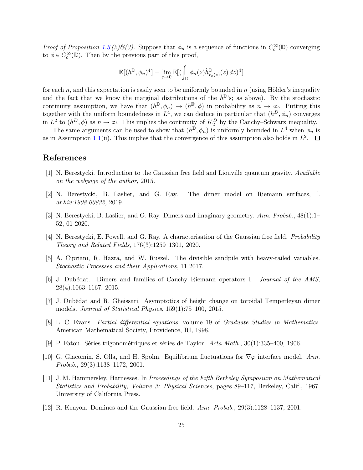Proof of Proposition [1.3](#page-2-0) (2) $\mathcal{B}(3)$ . Suppose that  $\phi_n$  is a sequence of functions in  $C_c^{\infty}(\mathbb{D})$  converging to  $\phi \in C_c^{\infty}(\mathbb{D})$ . Then by the previous part of this proof,

$$
\mathbb{E}[(h^{\mathbb{D}}, \phi_n)^4] = \lim_{\varepsilon \to 0} \mathbb{E}[(\int_{\mathbb{D}} \phi_n(z) \hat{h}^{\mathbb{D}}_{r_{\varepsilon}(z)}(z) dz)^4]
$$

for each n, and this expectation is easily seen to be uniformly bounded in  $n$  (using Hölder's inequality and the fact that we know the marginal distributions of the  $\hat{h}^{\mathbb{D}}$ 's; as above). By the stochastic continuity assumption, we have that  $(h^{\mathbb{D}}, \phi_n) \to (h^{\mathbb{D}}, \phi)$  in probability as  $n \to \infty$ . Putting this together with the uniform boundedness in  $L^4$ , we can deduce in particular that  $(h^D, \phi_n)$  converges in  $L^2$  to  $(h^D, \phi)$  as  $n \to \infty$ . This implies the continuity of  $K_2^D$  by the Cauchy–Schwarz inequality.

The same arguments can be used to show that  $(h^{\mathbb{D}}, \phi_n)$  is uniformly bounded in  $L^4$  when  $\phi_n$  is as in Assumption [1.1\(](#page-1-0)ii). This implies that the convergence of this assumption also holds in  $L^2$ .

# <span id="page-24-7"></span>References

- <span id="page-24-5"></span>[1] N. Berestycki. Introduction to the Gaussian free field and Liouville quantum gravity. Available on the webpage of the author, 2015.
- <span id="page-24-4"></span>[2] N. Berestycki, B. Laslier, and G. Ray. The dimer model on Riemann surfaces, I. arXiv:1908.00832, 2019.
- <span id="page-24-0"></span>[3] N. Berestycki, B. Laslier, and G. Ray. Dimers and imaginary geometry. Ann. Probab., 48(1):1– 52, 01 2020.
- <span id="page-24-9"></span>[4] N. Berestycki, E. Powell, and G. Ray. A characterisation of the Gaussian free field. Probability Theory and Related Fields, 176(3):1259–1301, 2020.
- <span id="page-24-3"></span>[5] A. Cipriani, R. Hazra, and W. Ruszel. The divisible sandpile with heavy-tailed variables. Stochastic Processes and their Applications, 11 2017.
- <span id="page-24-6"></span>[6] J. Dubédat. Dimers and families of Cauchy Riemann operators I. Journal of the AMS, 28(4):1063–1167, 2015.
- <span id="page-24-11"></span>[7] J. Dubédat and R. Gheissari. Asymptotics of height change on toroidal Temperleyan dimer models. Journal of Statistical Physics, 159(1):75–100, 2015.
- <span id="page-24-10"></span>[8] L. C. Evans. Partial differential equations, volume 19 of Graduate Studies in Mathematics. American Mathematical Society, Providence, RI, 1998.
- <span id="page-24-1"></span>[9] P. Fatou. Séries trigonométriques et séries de Taylor. Acta Math., 30(1):335–400, 1906.
- [10] G. Giacomin, S. Olla, and H. Spohn. Equilibrium fluctuations for  $\nabla\varphi$  interface model. Ann. Probab., 29(3):1138–1172, 2001.
- <span id="page-24-8"></span>[11] J. M. Hammersley. Harnesses. In Proceedings of the Fifth Berkeley Symposium on Mathematical Statistics and Probability, Volume 3: Physical Sciences, pages 89–117, Berkeley, Calif., 1967. University of California Press.
- <span id="page-24-2"></span>[12] R. Kenyon. Dominos and the Gaussian free field. Ann. Probab., 29(3):1128–1137, 2001.